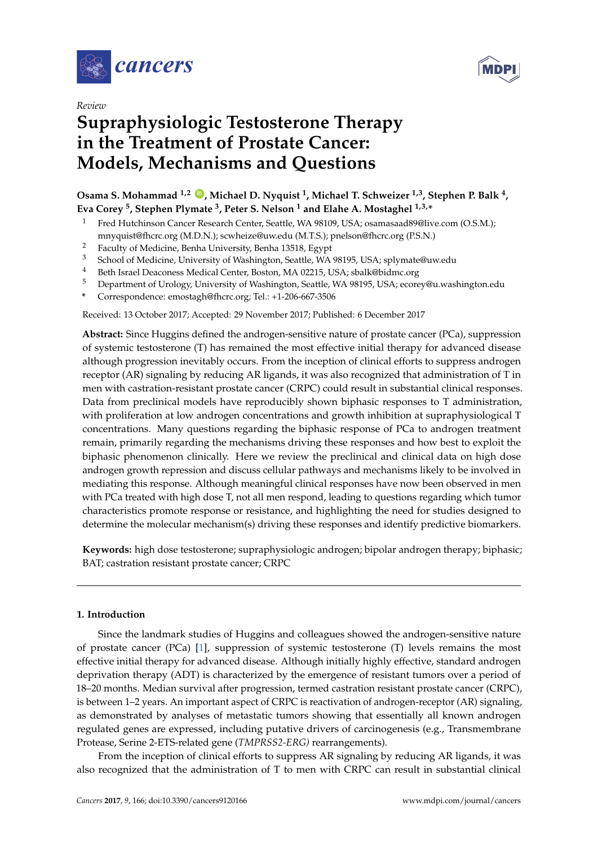



# **Supraphysiologic Testosterone Therapy in the Treatment of Prostate Cancer: Models, Mechanisms and Questions**

**Osama S. Mohammad 1,2 [ID](https://orcid.org/0000-0001-5685-7263) , Michael D. Nyquist <sup>1</sup> , Michael T. Schweizer 1,3, Stephen P. Balk <sup>4</sup> , Eva Corey <sup>5</sup> , Stephen Plymate <sup>3</sup> , Peter S. Nelson <sup>1</sup> and Elahe A. Mostaghel 1,3,\***

- <sup>1</sup> Fred Hutchinson Cancer Research Center, Seattle, WA 98109, USA; osamasaad89@live.com (O.S.M.); mnyquist@fhcrc.org (M.D.N.); scwheize@uw.edu (M.T.S.); pnelson@fhcrc.org (P.S.N.)
- <sup>2</sup> Faculty of Medicine, Benha University, Benha 13518, Egypt
- <sup>3</sup> School of Medicine, University of Washington, Seattle, WA 98195, USA; splymate@uw.edu
- <sup>4</sup> Beth Israel Deaconess Medical Center, Boston, MA 02215, USA; sbalk@bidmc.org
- <sup>5</sup> Department of Urology, University of Washington, Seattle, WA 98195, USA; ecorey@u.washington.edu
- **\*** Correspondence: emostagh@fhcrc.org; Tel.: +1-206-667-3506

Received: 13 October 2017; Accepted: 29 November 2017; Published: 6 December 2017

**Abstract:** Since Huggins defined the androgen-sensitive nature of prostate cancer (PCa), suppression of systemic testosterone (T) has remained the most effective initial therapy for advanced disease although progression inevitably occurs. From the inception of clinical efforts to suppress androgen receptor (AR) signaling by reducing AR ligands, it was also recognized that administration of T in men with castration-resistant prostate cancer (CRPC) could result in substantial clinical responses. Data from preclinical models have reproducibly shown biphasic responses to T administration, with proliferation at low androgen concentrations and growth inhibition at supraphysiological T concentrations. Many questions regarding the biphasic response of PCa to androgen treatment remain, primarily regarding the mechanisms driving these responses and how best to exploit the biphasic phenomenon clinically. Here we review the preclinical and clinical data on high dose androgen growth repression and discuss cellular pathways and mechanisms likely to be involved in mediating this response. Although meaningful clinical responses have now been observed in men with PCa treated with high dose T, not all men respond, leading to questions regarding which tumor characteristics promote response or resistance, and highlighting the need for studies designed to determine the molecular mechanism(s) driving these responses and identify predictive biomarkers.

**Keywords:** high dose testosterone; supraphysiologic androgen; bipolar androgen therapy; biphasic; BAT; castration resistant prostate cancer; CRPC

## **1. Introduction**

Since the landmark studies of Huggins and colleagues showed the androgen-sensitive nature of prostate cancer (PCa) [\[1\]](#page-21-0), suppression of systemic testosterone (T) levels remains the most effective initial therapy for advanced disease. Although initially highly effective, standard androgen deprivation therapy (ADT) is characterized by the emergence of resistant tumors over a period of 18–20 months. Median survival after progression, termed castration resistant prostate cancer (CRPC), is between 1–2 years. An important aspect of CRPC is reactivation of androgen-receptor (AR) signaling, as demonstrated by analyses of metastatic tumors showing that essentially all known androgen regulated genes are expressed, including putative drivers of carcinogenesis (e.g., Transmembrane Protease, Serine 2-ETS-related gene (*TMPRSS2-ERG)* rearrangements).

From the inception of clinical efforts to suppress AR signaling by reducing AR ligands, it was also recognized that the administration of T to men with CRPC can result in substantial clinical

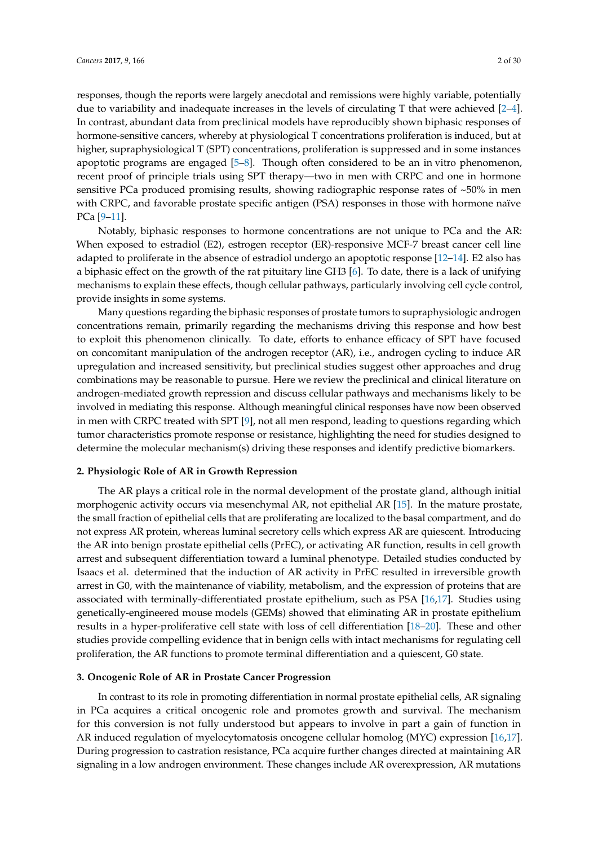responses, though the reports were largely anecdotal and remissions were highly variable, potentially due to variability and inadequate increases in the levels of circulating T that were achieved [\[2](#page-21-1)[–4\]](#page-21-2).

In contrast, abundant data from preclinical models have reproducibly shown biphasic responses of hormone-sensitive cancers, whereby at physiological T concentrations proliferation is induced, but at higher, supraphysiological T (SPT) concentrations, proliferation is suppressed and in some instances apoptotic programs are engaged [\[5](#page-21-3)[–8\]](#page-21-4). Though often considered to be an in vitro phenomenon, recent proof of principle trials using SPT therapy—two in men with CRPC and one in hormone sensitive PCa produced promising results, showing radiographic response rates of ~50% in men with CRPC, and favorable prostate specific antigen (PSA) responses in those with hormone naïve PCa [\[9](#page-21-5)[–11\]](#page-21-6).

Notably, biphasic responses to hormone concentrations are not unique to PCa and the AR: When exposed to estradiol (E2), estrogen receptor (ER)-responsive MCF-7 breast cancer cell line adapted to proliferate in the absence of estradiol undergo an apoptotic response [\[12–](#page-21-7)[14\]](#page-22-0). E2 also has a biphasic effect on the growth of the rat pituitary line GH3 [\[6\]](#page-21-8). To date, there is a lack of unifying mechanisms to explain these effects, though cellular pathways, particularly involving cell cycle control, provide insights in some systems.

Many questions regarding the biphasic responses of prostate tumors to supraphysiologic androgen concentrations remain, primarily regarding the mechanisms driving this response and how best to exploit this phenomenon clinically. To date, efforts to enhance efficacy of SPT have focused on concomitant manipulation of the androgen receptor (AR), i.e., androgen cycling to induce AR upregulation and increased sensitivity, but preclinical studies suggest other approaches and drug combinations may be reasonable to pursue. Here we review the preclinical and clinical literature on androgen-mediated growth repression and discuss cellular pathways and mechanisms likely to be involved in mediating this response. Although meaningful clinical responses have now been observed in men with CRPC treated with SPT [\[9\]](#page-21-5), not all men respond, leading to questions regarding which tumor characteristics promote response or resistance, highlighting the need for studies designed to determine the molecular mechanism(s) driving these responses and identify predictive biomarkers.

#### **2. Physiologic Role of AR in Growth Repression**

The AR plays a critical role in the normal development of the prostate gland, although initial morphogenic activity occurs via mesenchymal AR, not epithelial AR [\[15\]](#page-22-1). In the mature prostate, the small fraction of epithelial cells that are proliferating are localized to the basal compartment, and do not express AR protein, whereas luminal secretory cells which express AR are quiescent. Introducing the AR into benign prostate epithelial cells (PrEC), or activating AR function, results in cell growth arrest and subsequent differentiation toward a luminal phenotype. Detailed studies conducted by Isaacs et al. determined that the induction of AR activity in PrEC resulted in irreversible growth arrest in G0, with the maintenance of viability, metabolism, and the expression of proteins that are associated with terminally-differentiated prostate epithelium, such as PSA [\[16](#page-22-2)[,17\]](#page-22-3). Studies using genetically-engineered mouse models (GEMs) showed that eliminating AR in prostate epithelium results in a hyper-proliferative cell state with loss of cell differentiation [\[18](#page-22-4)[–20\]](#page-22-5). These and other studies provide compelling evidence that in benign cells with intact mechanisms for regulating cell proliferation, the AR functions to promote terminal differentiation and a quiescent, G0 state.

#### **3. Oncogenic Role of AR in Prostate Cancer Progression**

In contrast to its role in promoting differentiation in normal prostate epithelial cells, AR signaling in PCa acquires a critical oncogenic role and promotes growth and survival. The mechanism for this conversion is not fully understood but appears to involve in part a gain of function in AR induced regulation of myelocytomatosis oncogene cellular homolog (MYC) expression [\[16,](#page-22-2)[17\]](#page-22-3). During progression to castration resistance, PCa acquire further changes directed at maintaining AR signaling in a low androgen environment. These changes include AR overexpression, AR mutations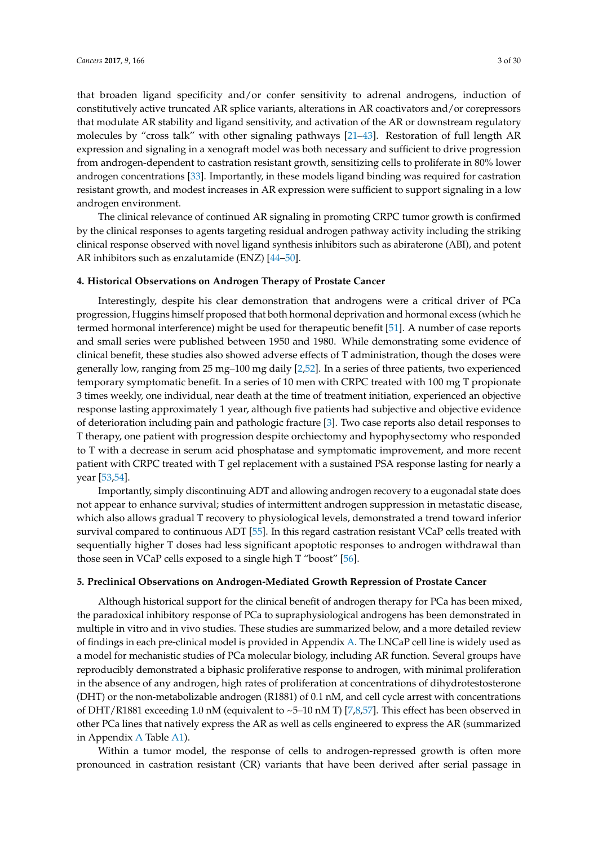that broaden ligand specificity and/or confer sensitivity to adrenal androgens, induction of constitutively active truncated AR splice variants, alterations in AR coactivators and/or corepressors that modulate AR stability and ligand sensitivity, and activation of the AR or downstream regulatory molecules by "cross talk" with other signaling pathways [\[21](#page-22-6)[–43\]](#page-23-0). Restoration of full length AR expression and signaling in a xenograft model was both necessary and sufficient to drive progression from androgen-dependent to castration resistant growth, sensitizing cells to proliferate in 80% lower androgen concentrations [\[33\]](#page-23-1). Importantly, in these models ligand binding was required for castration resistant growth, and modest increases in AR expression were sufficient to support signaling in a low androgen environment.

The clinical relevance of continued AR signaling in promoting CRPC tumor growth is confirmed by the clinical responses to agents targeting residual androgen pathway activity including the striking clinical response observed with novel ligand synthesis inhibitors such as abiraterone (ABI), and potent AR inhibitors such as enzalutamide (ENZ) [\[44–](#page-23-2)[50\]](#page-24-0).

#### **4. Historical Observations on Androgen Therapy of Prostate Cancer**

Interestingly, despite his clear demonstration that androgens were a critical driver of PCa progression, Huggins himself proposed that both hormonal deprivation and hormonal excess (which he termed hormonal interference) might be used for therapeutic benefit [\[51\]](#page-24-1). A number of case reports and small series were published between 1950 and 1980. While demonstrating some evidence of clinical benefit, these studies also showed adverse effects of T administration, though the doses were generally low, ranging from 25 mg–100 mg daily [\[2](#page-21-1)[,52\]](#page-24-2). In a series of three patients, two experienced temporary symptomatic benefit. In a series of 10 men with CRPC treated with 100 mg T propionate 3 times weekly, one individual, near death at the time of treatment initiation, experienced an objective response lasting approximately 1 year, although five patients had subjective and objective evidence of deterioration including pain and pathologic fracture [\[3\]](#page-21-9). Two case reports also detail responses to T therapy, one patient with progression despite orchiectomy and hypophysectomy who responded to T with a decrease in serum acid phosphatase and symptomatic improvement, and more recent patient with CRPC treated with T gel replacement with a sustained PSA response lasting for nearly a year [\[53,](#page-24-3)[54\]](#page-24-4).

Importantly, simply discontinuing ADT and allowing androgen recovery to a eugonadal state does not appear to enhance survival; studies of intermittent androgen suppression in metastatic disease, which also allows gradual T recovery to physiological levels, demonstrated a trend toward inferior survival compared to continuous ADT [\[55\]](#page-24-5). In this regard castration resistant VCaP cells treated with sequentially higher T doses had less significant apoptotic responses to androgen withdrawal than those seen in VCaP cells exposed to a single high T "boost" [\[56\]](#page-24-6).

#### **5. Preclinical Observations on Androgen-Mediated Growth Repression of Prostate Cancer**

Although historical support for the clinical benefit of androgen therapy for PCa has been mixed, the paradoxical inhibitory response of PCa to supraphysiological androgens has been demonstrated in multiple in vitro and in vivo studies. These studies are summarized below, and a more detailed review of findings in each pre-clinical model is provided in Appendix [A.](#page-15-0) The LNCaP cell line is widely used as a model for mechanistic studies of PCa molecular biology, including AR function. Several groups have reproducibly demonstrated a biphasic proliferative response to androgen, with minimal proliferation in the absence of any androgen, high rates of proliferation at concentrations of dihydrotestosterone (DHT) or the non-metabolizable androgen (R1881) of 0.1 nM, and cell cycle arrest with concentrations of DHT/R1881 exceeding 1.0 nM (equivalent to  $\sim$  5–10 nM T) [\[7](#page-21-10)[,8](#page-21-4)[,57\]](#page-24-7). This effect has been observed in other PCa lines that natively express the AR as well as cells engineered to express the AR (summarized in Appendix [A](#page-15-0) Table [A1\)](#page-17-0).

Within a tumor model, the response of cells to androgen-repressed growth is often more pronounced in castration resistant (CR) variants that have been derived after serial passage in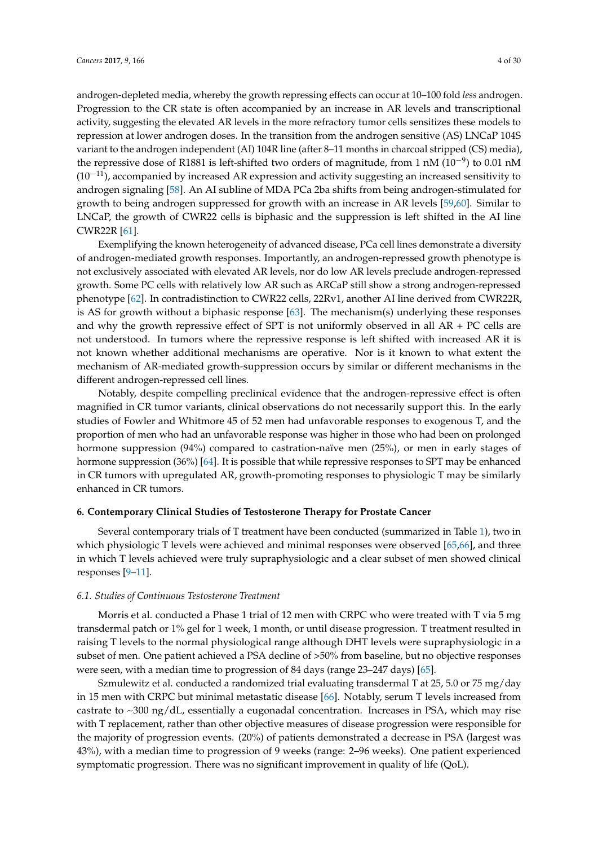androgen-depleted media, whereby the growth repressing effects can occur at 10–100 fold *less* androgen. Progression to the CR state is often accompanied by an increase in AR levels and transcriptional activity, suggesting the elevated AR levels in the more refractory tumor cells sensitizes these models to repression at lower androgen doses. In the transition from the androgen sensitive (AS) LNCaP 104S variant to the androgen independent (AI) 104R line (after 8–11 months in charcoal stripped (CS) media), the repressive dose of R1881 is left-shifted two orders of magnitude, from 1 nM (10<sup>-9</sup>) to 0.01 nM  $(10<sup>-11</sup>)$ , accompanied by increased AR expression and activity suggesting an increased sensitivity to androgen signaling [\[58\]](#page-24-8). An AI subline of MDA PCa 2ba shifts from being androgen-stimulated for growth to being androgen suppressed for growth with an increase in AR levels [\[59](#page-24-9)[,60\]](#page-24-10). Similar to LNCaP, the growth of CWR22 cells is biphasic and the suppression is left shifted in the AI line CWR22R [\[61\]](#page-24-11).

Exemplifying the known heterogeneity of advanced disease, PCa cell lines demonstrate a diversity of androgen-mediated growth responses. Importantly, an androgen-repressed growth phenotype is not exclusively associated with elevated AR levels, nor do low AR levels preclude androgen-repressed growth. Some PC cells with relatively low AR such as ARCaP still show a strong androgen-repressed phenotype [\[62\]](#page-24-12). In contradistinction to CWR22 cells, 22Rv1, another AI line derived from CWR22R, is AS for growth without a biphasic response [\[63\]](#page-24-13). The mechanism(s) underlying these responses and why the growth repressive effect of SPT is not uniformly observed in all  $AR + PC$  cells are not understood. In tumors where the repressive response is left shifted with increased AR it is not known whether additional mechanisms are operative. Nor is it known to what extent the mechanism of AR-mediated growth-suppression occurs by similar or different mechanisms in the different androgen-repressed cell lines.

Notably, despite compelling preclinical evidence that the androgen-repressive effect is often magnified in CR tumor variants, clinical observations do not necessarily support this. In the early studies of Fowler and Whitmore 45 of 52 men had unfavorable responses to exogenous T, and the proportion of men who had an unfavorable response was higher in those who had been on prolonged hormone suppression (94%) compared to castration-naïve men (25%), or men in early stages of hormone suppression (36%) [\[64\]](#page-24-14). It is possible that while repressive responses to SPT may be enhanced in CR tumors with upregulated AR, growth-promoting responses to physiologic T may be similarly enhanced in CR tumors.

#### **6. Contemporary Clinical Studies of Testosterone Therapy for Prostate Cancer**

Several contemporary trials of T treatment have been conducted (summarized in Table [1\)](#page-4-0), two in which physiologic T levels were achieved and minimal responses were observed [\[65,](#page-24-15)[66\]](#page-24-16), and three in which T levels achieved were truly supraphysiologic and a clear subset of men showed clinical responses [\[9–](#page-21-5)[11\]](#page-21-6).

#### *6.1. Studies of Continuous Testosterone Treatment*

Morris et al. conducted a Phase 1 trial of 12 men with CRPC who were treated with T via 5 mg transdermal patch or 1% gel for 1 week, 1 month, or until disease progression. T treatment resulted in raising T levels to the normal physiological range although DHT levels were supraphysiologic in a subset of men. One patient achieved a PSA decline of >50% from baseline, but no objective responses were seen, with a median time to progression of 84 days (range 23–247 days) [\[65\]](#page-24-15).

Szmulewitz et al. conducted a randomized trial evaluating transdermal T at 25, 5.0 or 75 mg/day in 15 men with CRPC but minimal metastatic disease [\[66\]](#page-24-16). Notably, serum T levels increased from castrate to  $\sim$ 300 ng/dL, essentially a eugonadal concentration. Increases in PSA, which may rise with T replacement, rather than other objective measures of disease progression were responsible for the majority of progression events. (20%) of patients demonstrated a decrease in PSA (largest was 43%), with a median time to progression of 9 weeks (range: 2–96 weeks). One patient experienced symptomatic progression. There was no significant improvement in quality of life (QoL).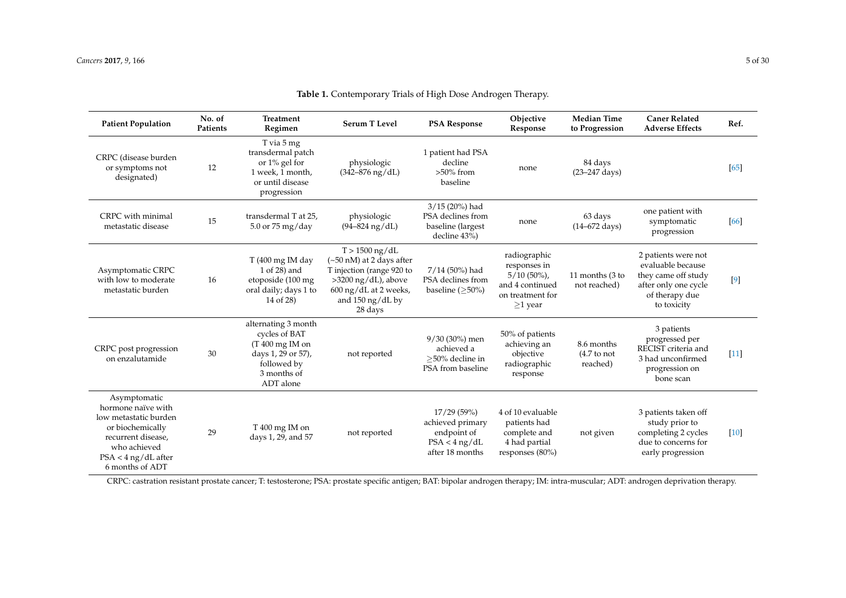| <b>Patient Population</b>                                                                                                                                         | No. of<br>Patients | <b>Treatment</b><br>Regimen                                                                                                | <b>Serum T Level</b>                                                                                                                                                                               | <b>PSA Response</b>                                                                 | Objective<br>Response                                                                                  | <b>Median Time</b><br>to Progression            | <b>Caner Related</b><br><b>Adverse Effects</b>                                                                           | Ref.   |
|-------------------------------------------------------------------------------------------------------------------------------------------------------------------|--------------------|----------------------------------------------------------------------------------------------------------------------------|----------------------------------------------------------------------------------------------------------------------------------------------------------------------------------------------------|-------------------------------------------------------------------------------------|--------------------------------------------------------------------------------------------------------|-------------------------------------------------|--------------------------------------------------------------------------------------------------------------------------|--------|
| CRPC (disease burden<br>or symptoms not<br>designated)                                                                                                            | 12                 | T via 5 mg<br>transdermal patch<br>or $1\%$ gel for<br>1 week, 1 month,<br>or until disease<br>progression                 | physiologic<br>$(342 - 876)$ ng/dL)                                                                                                                                                                | 1 patient had PSA<br>decline<br>$>50\%$ from<br>baseline                            | none                                                                                                   | 84 days<br>$(23 - 247 \text{ days})$            |                                                                                                                          | $[65]$ |
| CRPC with minimal<br>metastatic disease                                                                                                                           | 15                 | transdermal T at 25,<br>$5.0$ or $75$ mg/day                                                                               | physiologic<br>$(94 - 824)$ ng/dL)                                                                                                                                                                 | 3/15 (20%) had<br>PSA declines from<br>baseline (largest<br>decline 43%)            | none                                                                                                   | 63 days<br>$(14 - 672 \text{ days})$            | one patient with<br>symptomatic<br>progression                                                                           | [66]   |
| Asymptomatic CRPC<br>with low to moderate<br>metastatic burden                                                                                                    | 16                 | $T(400 \text{ mg} \text{IM day})$<br>1 of 28) and<br>etoposide (100 mg<br>oral daily; days 1 to<br>14 of 28)               | $T > 1500$ ng/dL<br>$(\sim]50$ nM) at 2 days after<br>T injection (range 920 to<br>$>3200$ ng/dL), above<br>$600 \text{ ng/dL}$ at 2 weeks,<br>and $150 \frac{\text{ng}}{\text{Hz}}$ by<br>28 days | $7/14$ (50%) had<br>PSA declines from<br>baseline $(\geq 50\%)$                     | radiographic<br>responses in<br>$5/10(50\%)$ ,<br>and 4 continued<br>on treatment for<br>$\geq$ 1 year | 11 months (3 to<br>not reached)                 | 2 patients were not<br>evaluable because<br>they came off study<br>after only one cycle<br>of therapy due<br>to toxicity | $[9]$  |
| CRPC post progression<br>on enzalutamide                                                                                                                          | 30                 | alternating 3 month<br>cycles of BAT<br>$(T 400$ mg IM on<br>days 1, 29 or 57),<br>followed by<br>3 months of<br>ADT alone | not reported                                                                                                                                                                                       | $9/30(30\%)$ men<br>achieved a<br>>50% decline in<br>PSA from baseline              | 50% of patients<br>achieving an<br>objective<br>radiographic<br>response                               | 8.6 months<br>$(4.7 \text{ to not}$<br>reached) | 3 patients<br>progressed per<br>RECIST criteria and<br>3 had unconfirmed<br>progression on<br>bone scan                  | $[11]$ |
| Asymptomatic<br>hormone naïve with<br>low metastatic burden<br>or biochemically<br>recurrent disease,<br>who achieved<br>$PSA < 4$ ng/dL after<br>6 months of ADT | 29                 | $T\,400$ mg IM on<br>days 1, 29, and 57                                                                                    | not reported                                                                                                                                                                                       | 17/29(59%)<br>achieved primary<br>endpoint of<br>$PSA < 4$ ng/dL<br>after 18 months | 4 of 10 evaluable<br>patients had<br>complete and<br>4 had partial<br>responses (80%)                  | not given                                       | 3 patients taken off<br>study prior to<br>completing 2 cycles<br>due to concerns for<br>early progression                | $[10]$ |

**Table 1.** Contemporary Trials of High Dose Androgen Therapy.

<span id="page-4-0"></span>CRPC: castration resistant prostate cancer; T: testosterone; PSA: prostate specific antigen; BAT: bipolar androgen therapy; IM: intra-muscular; ADT: androgen deprivation therapy.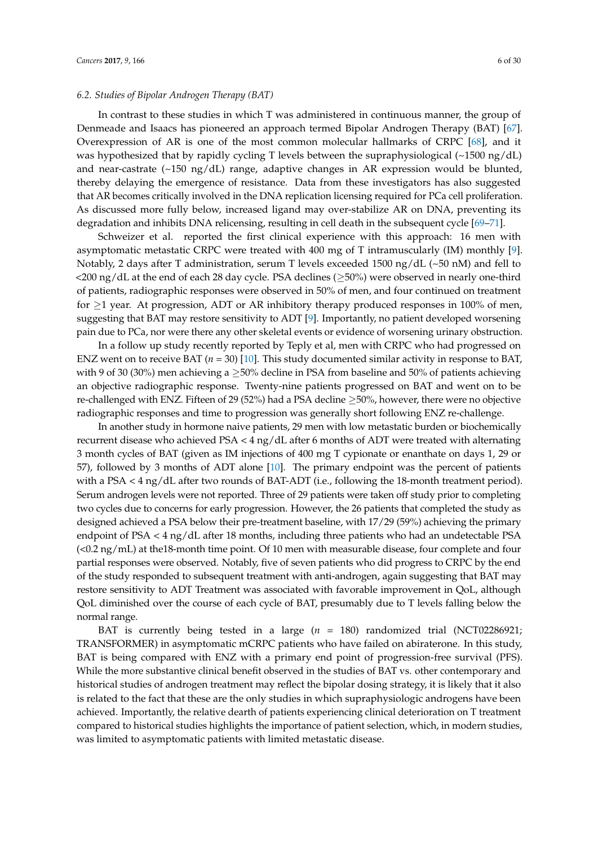#### *6.2. Studies of Bipolar Androgen Therapy (BAT)*

In contrast to these studies in which T was administered in continuous manner, the group of Denmeade and Isaacs has pioneered an approach termed Bipolar Androgen Therapy (BAT) [\[67\]](#page-24-19). Overexpression of AR is one of the most common molecular hallmarks of CRPC [\[68\]](#page-24-20), and it was hypothesized that by rapidly cycling T levels between the supraphysiological (~1500 ng/dL) and near-castrate (~150 ng/dL) range, adaptive changes in AR expression would be blunted, thereby delaying the emergence of resistance. Data from these investigators has also suggested that AR becomes critically involved in the DNA replication licensing required for PCa cell proliferation. As discussed more fully below, increased ligand may over-stabilize AR on DNA, preventing its degradation and inhibits DNA relicensing, resulting in cell death in the subsequent cycle [\[69–](#page-25-0)[71\]](#page-25-1).

Schweizer et al. reported the first clinical experience with this approach: 16 men with asymptomatic metastatic CRPC were treated with 400 mg of T intramuscularly (IM) monthly [\[9\]](#page-21-5). Notably, 2 days after T administration, serum T levels exceeded 1500 ng/dL (~50 nM) and fell to  $\langle$ 200 ng/dL at the end of each 28 day cycle. PSA declines ( $\geq$ 50%) were observed in nearly one-third of patients, radiographic responses were observed in 50% of men, and four continued on treatment for  $\geq$ 1 year. At progression, ADT or AR inhibitory therapy produced responses in 100% of men, suggesting that BAT may restore sensitivity to ADT [\[9\]](#page-21-5). Importantly, no patient developed worsening pain due to PCa, nor were there any other skeletal events or evidence of worsening urinary obstruction.

In a follow up study recently reported by Teply et al, men with CRPC who had progressed on ENZ went on to receive BAT (*n* = 30) [\[10\]](#page-21-13). This study documented similar activity in response to BAT, with 9 of 30 (30%) men achieving a  $\geq$ 50% decline in PSA from baseline and 50% of patients achieving an objective radiographic response. Twenty-nine patients progressed on BAT and went on to be re-challenged with ENZ. Fifteen of 29 (52%) had a PSA decline ≥50%, however, there were no objective radiographic responses and time to progression was generally short following ENZ re-challenge.

In another study in hormone naive patients, 29 men with low metastatic burden or biochemically recurrent disease who achieved PSA < 4 ng/dL after 6 months of ADT were treated with alternating 3 month cycles of BAT (given as IM injections of 400 mg T cypionate or enanthate on days 1, 29 or 57), followed by 3 months of ADT alone [\[10\]](#page-21-13). The primary endpoint was the percent of patients with a PSA < 4 ng/dL after two rounds of BAT-ADT (i.e., following the 18-month treatment period). Serum androgen levels were not reported. Three of 29 patients were taken off study prior to completing two cycles due to concerns for early progression. However, the 26 patients that completed the study as designed achieved a PSA below their pre-treatment baseline, with 17/29 (59%) achieving the primary endpoint of PSA < 4 ng/dL after 18 months, including three patients who had an undetectable PSA  $\left($  <0.2 ng/mL) at the18-month time point. Of 10 men with measurable disease, four complete and four partial responses were observed. Notably, five of seven patients who did progress to CRPC by the end of the study responded to subsequent treatment with anti-androgen, again suggesting that BAT may restore sensitivity to ADT Treatment was associated with favorable improvement in QoL, although QoL diminished over the course of each cycle of BAT, presumably due to T levels falling below the normal range.

BAT is currently being tested in a large  $(n = 180)$  randomized trial (NCT02286921; TRANSFORMER) in asymptomatic mCRPC patients who have failed on abiraterone. In this study, BAT is being compared with ENZ with a primary end point of progression-free survival (PFS). While the more substantive clinical benefit observed in the studies of BAT vs. other contemporary and historical studies of androgen treatment may reflect the bipolar dosing strategy, it is likely that it also is related to the fact that these are the only studies in which supraphysiologic androgens have been achieved. Importantly, the relative dearth of patients experiencing clinical deterioration on T treatment compared to historical studies highlights the importance of patient selection, which, in modern studies, was limited to asymptomatic patients with limited metastatic disease.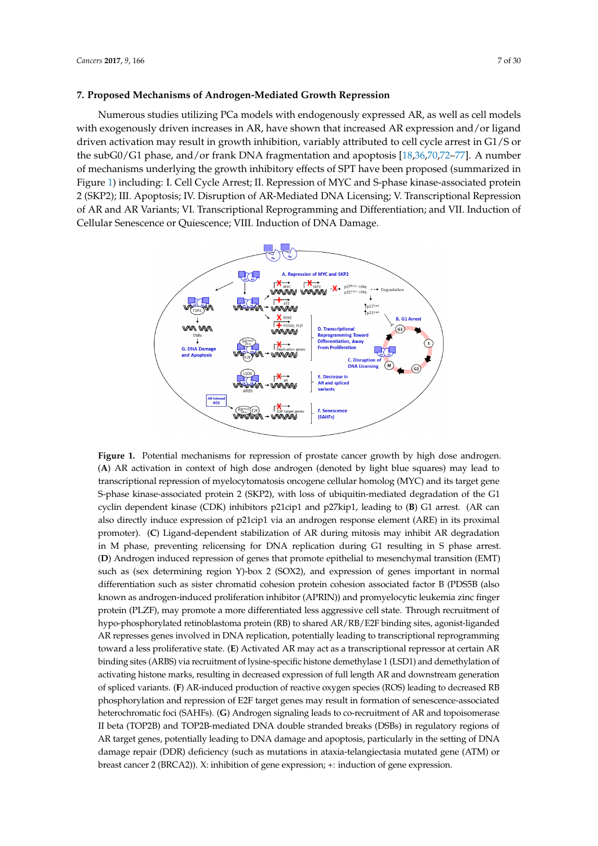# **7. Proposed Mechanisms of Androgen-Mediated Growth Repression** *Cancers* **2017**, *9*, 166 7 of 30

Numerous studies utilizing PCa models with endogenously expressed AR, as well as cell models with exogenously driven increases in AR, have shown that increased AR expression and/or ligand driven activation may result in growth inhibition, variably attributed to cell cycle arrest in  $\mathrm{G}1/\mathrm{S}$  or the subG0/G1 phase, and/or frank DNA fragmentation and apoptosis [18,36,70,72-77]. A number of mechanisms underlying the growth inhibitory effects of SPT have been proposed (summarized in Figure [1\)](#page-6-0) including: I. Cell Cycle Arrest; II. Repression of MYC and S-phase kinase-associated protein 2 (SKP2); III. Apoptosis; IV. Disruption of AR-Mediated DNA Licensing; V. Transcriptional Repression of AR and AR Variants; VI. Transcriptional Reprogramming and Differentiation; and VII. Induction of Cellular Senescence or Quiescence; VIII. Induction of DNA Damage. Induction of Cellular Senescence or Quiescence; VIII. Induction of DNA Damage. Repression of AR and AR Variants; VI. Transcriptional Reprogramming and Differentiation; and VII.

<span id="page-6-0"></span>

**Figure 1.** Potential mechanisms for repression of prostate cancer growth by high dose androgen. (**A**) **Figure 1.** Potential mechanisms for repression of prostate cancer growth by high dose androgen. (A) AR activation in context of high dose androgen (denoted by light blue squares) may lead to transcriptional repression of myelocytomatosis oncogene cellular homolog (MYC) and its target gene S-phase kinase-associated protein 2 (SKP2), with loss of ubiquitin-mediated degradation of the G1 cyclin dependent kinase (CDK) inhibitors p21cip1 and p27kip1, leading to (**B**) G1 arrest. (AR can also directly induce expression of p21cip1 via an androgen response element (ARE) in its proximal promoter). (C) Ligand-dependent stabilization of AR during mitosis may inhibit AR degradation in M phase, preventing relicensing for DNA replication during G1 resulting in S phase arrest. (D) Androgen induced repression of genes that promote epithelial to mesenchymal transition (EMT) such as (sex determining region Y)-box 2 (SOX2), and expression of genes important in normal differentiation such as sister chromatid cohesion protein cohesion associated factor B (PDS5B (also protein (PLZF), may provide a more differentiated less aggressive concellent account of the cell state of the concellent of the cell state of the cell state of the cell state. The concellent of the cell state of the cell s known as androgen-induced proliferation inhibitor (APRIN)) and promyelocytic leukemia zinc finger<br>. protein (PLZF), may promote a more differentiated less aggressive cell state. Through recruitment of hypo-phosphorylated retinoblastoma protein (RB) to shared AR/RB/E2F binding sites, agonist-liganded AR represses genes involved in DNA replication, potentially leading to transcriptional reprogramming toward a less proliferative state. (**E**) Activated AR may act as a transcriptional repressor at certain AR binding sites (ARBS) via recruitment of lysine-specific histone demethylase 1 (LSD1) and demethylation of activating histone marks, resulting in decreased expression of full length AR and downstream generation of spliced variants. (F) AR-induced production of reactive oxygen species (ROS) leading to decreased RB phosphorylation and repression of E2F target genes may result in formation of senescence-associated heterochromatic foci (SAHFs). (**G**) Androgen signaling leads to co-recruitment of AR and topoisomerase  $\alpha$ II beta (TOP2B) and TOP2B-mediated DNA double stranded breaks (DSBs) in regulatory regions of AR target genes, potentially leading to DNA damage and apoptosis, particularly in the setting of DNA damage repair (DDR) deficiency (such as mutations in ataxia-telangiectasia mutated gene (ATM) or breast cancer 2 (BRCA2)). X: inhibition of gene expression; +: induction of gene expression.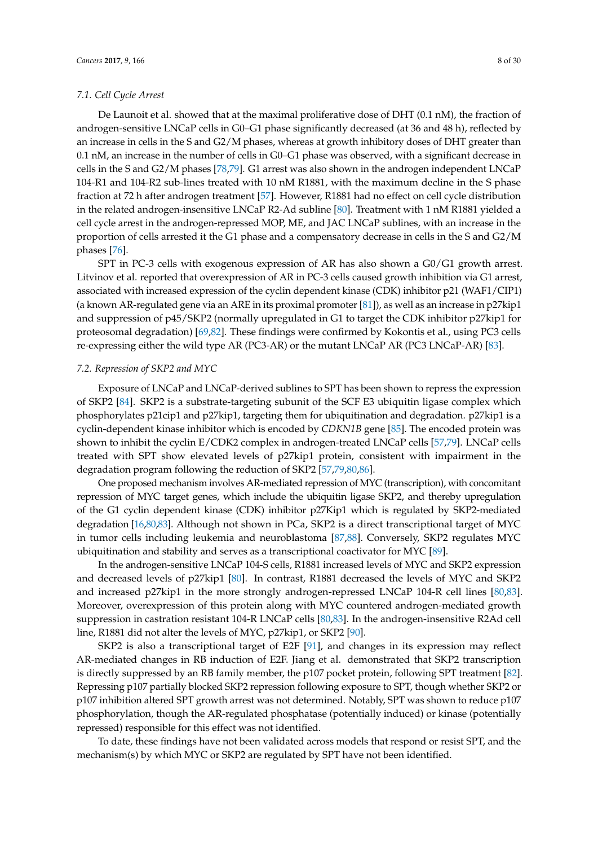#### *7.1. Cell Cycle Arrest*

De Launoit et al. showed that at the maximal proliferative dose of DHT (0.1 nM), the fraction of androgen-sensitive LNCaP cells in G0–G1 phase significantly decreased (at 36 and 48 h), reflected by an increase in cells in the S and G2/M phases, whereas at growth inhibitory doses of DHT greater than 0.1 nM, an increase in the number of cells in G0–G1 phase was observed, with a significant decrease in cells in the S and G2/M phases [\[78](#page-25-5)[,79\]](#page-25-6). G1 arrest was also shown in the androgen independent LNCaP 104-R1 and 104-R2 sub-lines treated with 10 nM R1881, with the maximum decline in the S phase fraction at 72 h after androgen treatment [\[57\]](#page-24-7). However, R1881 had no effect on cell cycle distribution in the related androgen-insensitive LNCaP R2-Ad subline [\[80\]](#page-25-7). Treatment with 1 nM R1881 yielded a cell cycle arrest in the androgen-repressed MOP, ME, and JAC LNCaP sublines, with an increase in the proportion of cells arrested it the G1 phase and a compensatory decrease in cells in the S and G2/M phases [\[76\]](#page-25-8).

SPT in PC-3 cells with exogenous expression of AR has also shown a G0/G1 growth arrest. Litvinov et al. reported that overexpression of AR in PC-3 cells caused growth inhibition via G1 arrest, associated with increased expression of the cyclin dependent kinase (CDK) inhibitor p21 (WAF1/CIP1) (a known AR-regulated gene via an ARE in its proximal promoter [\[81\]](#page-25-9)), as well as an increase in p27kip1 and suppression of p45/SKP2 (normally upregulated in G1 to target the CDK inhibitor p27kip1 for proteosomal degradation) [\[69,](#page-25-0)[82\]](#page-25-10). These findings were confirmed by Kokontis et al., using PC3 cells re-expressing either the wild type AR (PC3-AR) or the mutant LNCaP AR (PC3 LNCaP-AR) [\[83\]](#page-25-11).

#### *7.2. Repression of SKP2 and MYC*

Exposure of LNCaP and LNCaP-derived sublines to SPT has been shown to repress the expression of SKP2 [\[84\]](#page-25-12). SKP2 is a substrate-targeting subunit of the SCF E3 ubiquitin ligase complex which phosphorylates p21cip1 and p27kip1, targeting them for ubiquitination and degradation. p27kip1 is a cyclin-dependent kinase inhibitor which is encoded by *CDKN1B* gene [\[85\]](#page-25-13). The encoded protein was shown to inhibit the cyclin E/CDK2 complex in androgen-treated LNCaP cells [\[57](#page-24-7)[,79\]](#page-25-6). LNCaP cells treated with SPT show elevated levels of p27kip1 protein, consistent with impairment in the degradation program following the reduction of SKP2 [\[57](#page-24-7)[,79](#page-25-6)[,80](#page-25-7)[,86\]](#page-25-14).

One proposed mechanism involves AR-mediated repression of MYC (transcription), with concomitant repression of MYC target genes, which include the ubiquitin ligase SKP2, and thereby upregulation of the G1 cyclin dependent kinase (CDK) inhibitor p27Kip1 which is regulated by SKP2-mediated degradation [\[16,](#page-22-2)[80](#page-25-7)[,83\]](#page-25-11). Although not shown in PCa, SKP2 is a direct transcriptional target of MYC in tumor cells including leukemia and neuroblastoma [\[87,](#page-26-0)[88\]](#page-26-1). Conversely, SKP2 regulates MYC ubiquitination and stability and serves as a transcriptional coactivator for MYC [\[89\]](#page-26-2).

In the androgen-sensitive LNCaP 104-S cells, R1881 increased levels of MYC and SKP2 expression and decreased levels of p27kip1 [\[80\]](#page-25-7). In contrast, R1881 decreased the levels of MYC and SKP2 and increased p27kip1 in the more strongly androgen-repressed LNCaP 104-R cell lines [\[80,](#page-25-7)[83\]](#page-25-11). Moreover, overexpression of this protein along with MYC countered androgen-mediated growth suppression in castration resistant 104-R LNCaP cells [\[80,](#page-25-7)[83\]](#page-25-11). In the androgen-insensitive R2Ad cell line, R1881 did not alter the levels of MYC, p27kip1, or SKP2 [\[90\]](#page-26-3).

SKP2 is also a transcriptional target of E2F [\[91\]](#page-26-4), and changes in its expression may reflect AR-mediated changes in RB induction of E2F. Jiang et al. demonstrated that SKP2 transcription is directly suppressed by an RB family member, the p107 pocket protein, following SPT treatment [\[82\]](#page-25-10). Repressing p107 partially blocked SKP2 repression following exposure to SPT, though whether SKP2 or p107 inhibition altered SPT growth arrest was not determined. Notably, SPT was shown to reduce p107 phosphorylation, though the AR-regulated phosphatase (potentially induced) or kinase (potentially repressed) responsible for this effect was not identified.

To date, these findings have not been validated across models that respond or resist SPT, and the mechanism(s) by which MYC or SKP2 are regulated by SPT have not been identified.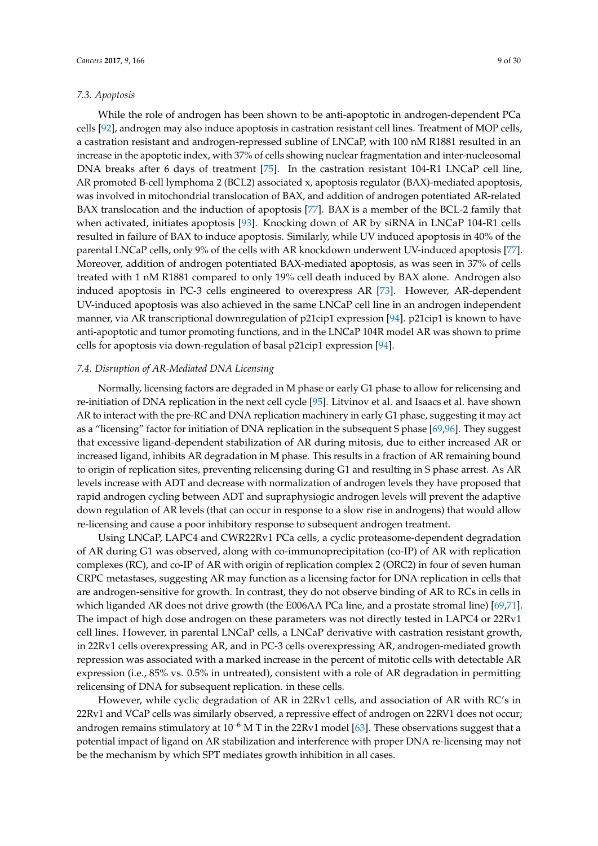#### *7.3. Apoptosis*

While the role of androgen has been shown to be anti-apoptotic in androgen-dependent PCa cells [\[92\]](#page-26-5), androgen may also induce apoptosis in castration resistant cell lines. Treatment of MOP cells, a castration resistant and androgen-repressed subline of LNCaP, with 100 nM R1881 resulted in an increase in the apoptotic index, with 37% of cells showing nuclear fragmentation and inter-nucleosomal DNA breaks after 6 days of treatment [\[75\]](#page-25-15). In the castration resistant 104-R1 LNCaP cell line, AR promoted B-cell lymphoma 2 (BCL2) associated x, apoptosis regulator (BAX)-mediated apoptosis, was involved in mitochondrial translocation of BAX, and addition of androgen potentiated AR-related BAX translocation and the induction of apoptosis [\[77\]](#page-25-4). BAX is a member of the BCL-2 family that when activated, initiates apoptosis [\[93\]](#page-26-6). Knocking down of AR by siRNA in LNCaP 104-R1 cells resulted in failure of BAX to induce apoptosis. Similarly, while UV induced apoptosis in 40% of the parental LNCaP cells, only 9% of the cells with AR knockdown underwent UV-induced apoptosis [\[77\]](#page-25-4). Moreover, addition of androgen potentiated BAX-mediated apoptosis, as was seen in 37% of cells treated with 1 nM R1881 compared to only 19% cell death induced by BAX alone. Androgen also induced apoptosis in PC-3 cells engineered to overexpress AR [\[73\]](#page-25-16). However, AR-dependent UV-induced apoptosis was also achieved in the same LNCaP cell line in an androgen independent manner, via AR transcriptional downregulation of p21cip1 expression [\[94\]](#page-26-7). p21cip1 is known to have anti-apoptotic and tumor promoting functions, and in the LNCaP 104R model AR was shown to prime cells for apoptosis via down-regulation of basal p21cip1 expression [\[94\]](#page-26-7).

### *7.4. Disruption of AR-Mediated DNA Licensing*

Normally, licensing factors are degraded in M phase or early G1 phase to allow for relicensing and re-initiation of DNA replication in the next cell cycle [\[95\]](#page-26-8). Litvinov et al. and Isaacs et al. have shown AR to interact with the pre-RC and DNA replication machinery in early G1 phase, suggesting it may act as a "licensing" factor for initiation of DNA replication in the subsequent S phase [\[69,](#page-25-0)[96\]](#page-26-9). They suggest that excessive ligand-dependent stabilization of AR during mitosis, due to either increased AR or increased ligand, inhibits AR degradation in M phase. This results in a fraction of AR remaining bound to origin of replication sites, preventing relicensing during G1 and resulting in S phase arrest. As AR levels increase with ADT and decrease with normalization of androgen levels they have proposed that rapid androgen cycling between ADT and supraphysiogic androgen levels will prevent the adaptive down regulation of AR levels (that can occur in response to a slow rise in androgens) that would allow re-licensing and cause a poor inhibitory response to subsequent androgen treatment.

Using LNCaP, LAPC4 and CWR22Rv1 PCa cells, a cyclic proteasome-dependent degradation of AR during G1 was observed, along with co-immunoprecipitation (co-IP) of AR with replication complexes (RC), and co-IP of AR with origin of replication complex 2 (ORC2) in four of seven human CRPC metastases, suggesting AR may function as a licensing factor for DNA replication in cells that are androgen-sensitive for growth. In contrast, they do not observe binding of AR to RCs in cells in which liganded AR does not drive growth (the E006AA PCa line, and a prostate stromal line) [\[69,](#page-25-0)[71\]](#page-25-1). The impact of high dose androgen on these parameters was not directly tested in LAPC4 or 22Rv1 cell lines. However, in parental LNCaP cells, a LNCaP derivative with castration resistant growth, in 22Rv1 cells overexpressing AR, and in PC-3 cells overexpressing AR, androgen-mediated growth repression was associated with a marked increase in the percent of mitotic cells with detectable AR expression (i.e., 85% vs. 0.5% in untreated), consistent with a role of AR degradation in permitting relicensing of DNA for subsequent replication. in these cells.

However, while cyclic degradation of AR in 22Rv1 cells, and association of AR with RC's in 22Rv1 and VCaP cells was similarly observed, a repressive effect of androgen on 22RV1 does not occur; androgen remains stimulatory at  $10^{-6}$  M T in the 22Rv1 model [\[63\]](#page-24-13). These observations suggest that a potential impact of ligand on AR stabilization and interference with proper DNA re-licensing may not be the mechanism by which SPT mediates growth inhibition in all cases.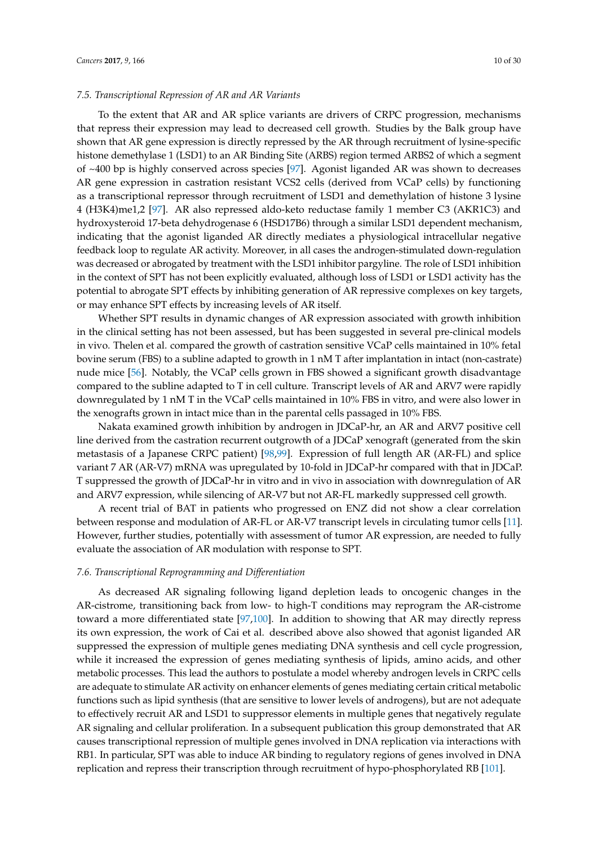To the extent that AR and AR splice variants are drivers of CRPC progression, mechanisms that repress their expression may lead to decreased cell growth. Studies by the Balk group have shown that AR gene expression is directly repressed by the AR through recruitment of lysine-specific histone demethylase 1 (LSD1) to an AR Binding Site (ARBS) region termed ARBS2 of which a segment of ~400 bp is highly conserved across species [\[97\]](#page-26-10). Agonist liganded AR was shown to decreases AR gene expression in castration resistant VCS2 cells (derived from VCaP cells) by functioning as a transcriptional repressor through recruitment of LSD1 and demethylation of histone 3 lysine 4 (H3K4)me1,2 [\[97\]](#page-26-10). AR also repressed aldo-keto reductase family 1 member C3 (AKR1C3) and hydroxysteroid 17-beta dehydrogenase 6 (HSD17B6) through a similar LSD1 dependent mechanism, indicating that the agonist liganded AR directly mediates a physiological intracellular negative feedback loop to regulate AR activity. Moreover, in all cases the androgen-stimulated down-regulation was decreased or abrogated by treatment with the LSD1 inhibitor pargyline. The role of LSD1 inhibition in the context of SPT has not been explicitly evaluated, although loss of LSD1 or LSD1 activity has the potential to abrogate SPT effects by inhibiting generation of AR repressive complexes on key targets, or may enhance SPT effects by increasing levels of AR itself.

Whether SPT results in dynamic changes of AR expression associated with growth inhibition in the clinical setting has not been assessed, but has been suggested in several pre-clinical models in vivo. Thelen et al. compared the growth of castration sensitive VCaP cells maintained in 10% fetal bovine serum (FBS) to a subline adapted to growth in 1 nM T after implantation in intact (non-castrate) nude mice [\[56\]](#page-24-6). Notably, the VCaP cells grown in FBS showed a significant growth disadvantage compared to the subline adapted to T in cell culture. Transcript levels of AR and ARV7 were rapidly downregulated by 1 nM T in the VCaP cells maintained in 10% FBS in vitro, and were also lower in the xenografts grown in intact mice than in the parental cells passaged in 10% FBS.

Nakata examined growth inhibition by androgen in JDCaP-hr, an AR and ARV7 positive cell line derived from the castration recurrent outgrowth of a JDCaP xenograft (generated from the skin metastasis of a Japanese CRPC patient) [\[98,](#page-26-11)[99\]](#page-26-12). Expression of full length AR (AR-FL) and splice variant 7 AR (AR-V7) mRNA was upregulated by 10-fold in JDCaP-hr compared with that in JDCaP. T suppressed the growth of JDCaP-hr in vitro and in vivo in association with downregulation of AR and ARV7 expression, while silencing of AR-V7 but not AR-FL markedly suppressed cell growth.

A recent trial of BAT in patients who progressed on ENZ did not show a clear correlation between response and modulation of AR-FL or AR-V7 transcript levels in circulating tumor cells [\[11\]](#page-21-6). However, further studies, potentially with assessment of tumor AR expression, are needed to fully evaluate the association of AR modulation with response to SPT.

#### *7.6. Transcriptional Reprogramming and Differentiation*

As decreased AR signaling following ligand depletion leads to oncogenic changes in the AR-cistrome, transitioning back from low- to high-T conditions may reprogram the AR-cistrome toward a more differentiated state [\[97](#page-26-10)[,100\]](#page-26-13). In addition to showing that AR may directly repress its own expression, the work of Cai et al. described above also showed that agonist liganded AR suppressed the expression of multiple genes mediating DNA synthesis and cell cycle progression, while it increased the expression of genes mediating synthesis of lipids, amino acids, and other metabolic processes. This lead the authors to postulate a model whereby androgen levels in CRPC cells are adequate to stimulate AR activity on enhancer elements of genes mediating certain critical metabolic functions such as lipid synthesis (that are sensitive to lower levels of androgens), but are not adequate to effectively recruit AR and LSD1 to suppressor elements in multiple genes that negatively regulate AR signaling and cellular proliferation. In a subsequent publication this group demonstrated that AR causes transcriptional repression of multiple genes involved in DNA replication via interactions with RB1. In particular, SPT was able to induce AR binding to regulatory regions of genes involved in DNA replication and repress their transcription through recruitment of hypo-phosphorylated RB [\[101\]](#page-26-14).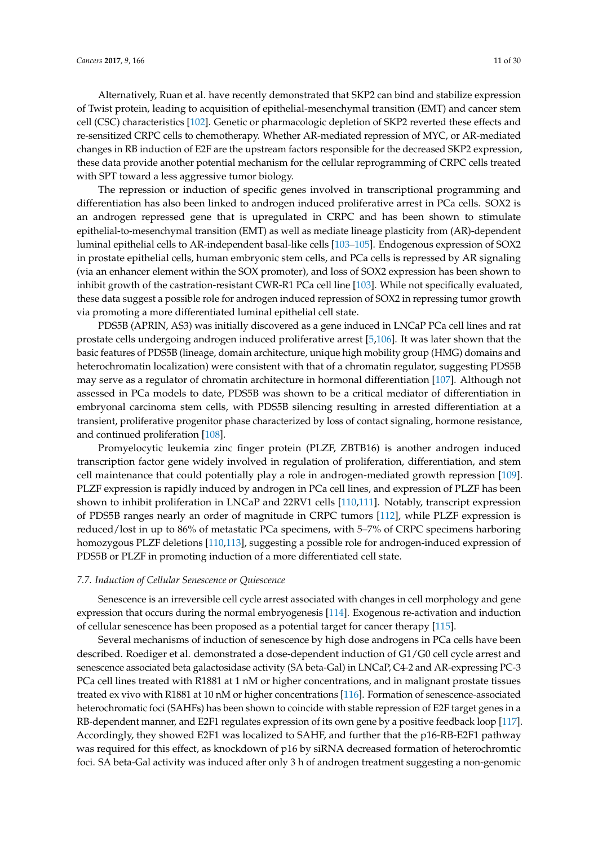Alternatively, Ruan et al. have recently demonstrated that SKP2 can bind and stabilize expression of Twist protein, leading to acquisition of epithelial-mesenchymal transition (EMT) and cancer stem cell (CSC) characteristics [\[102\]](#page-26-15). Genetic or pharmacologic depletion of SKP2 reverted these effects and re-sensitized CRPC cells to chemotherapy. Whether AR-mediated repression of MYC, or AR-mediated changes in RB induction of E2F are the upstream factors responsible for the decreased SKP2 expression, these data provide another potential mechanism for the cellular reprogramming of CRPC cells treated with SPT toward a less aggressive tumor biology.

The repression or induction of specific genes involved in transcriptional programming and differentiation has also been linked to androgen induced proliferative arrest in PCa cells. SOX2 is an androgen repressed gene that is upregulated in CRPC and has been shown to stimulate epithelial-to-mesenchymal transition (EMT) as well as mediate lineage plasticity from (AR)-dependent luminal epithelial cells to AR-independent basal-like cells [\[103](#page-26-16)[–105\]](#page-26-17). Endogenous expression of SOX2 in prostate epithelial cells, human embryonic stem cells, and PCa cells is repressed by AR signaling (via an enhancer element within the SOX promoter), and loss of SOX2 expression has been shown to inhibit growth of the castration-resistant CWR-R1 PCa cell line [\[103\]](#page-26-16). While not specifically evaluated, these data suggest a possible role for androgen induced repression of SOX2 in repressing tumor growth via promoting a more differentiated luminal epithelial cell state.

PDS5B (APRIN, AS3) was initially discovered as a gene induced in LNCaP PCa cell lines and rat prostate cells undergoing androgen induced proliferative arrest [\[5](#page-21-3)[,106\]](#page-27-0). It was later shown that the basic features of PDS5B (lineage, domain architecture, unique high mobility group (HMG) domains and heterochromatin localization) were consistent with that of a chromatin regulator, suggesting PDS5B may serve as a regulator of chromatin architecture in hormonal differentiation [\[107\]](#page-27-1). Although not assessed in PCa models to date, PDS5B was shown to be a critical mediator of differentiation in embryonal carcinoma stem cells, with PDS5B silencing resulting in arrested differentiation at a transient, proliferative progenitor phase characterized by loss of contact signaling, hormone resistance, and continued proliferation [\[108\]](#page-27-2).

Promyelocytic leukemia zinc finger protein (PLZF, ZBTB16) is another androgen induced transcription factor gene widely involved in regulation of proliferation, differentiation, and stem cell maintenance that could potentially play a role in androgen-mediated growth repression [\[109\]](#page-27-3). PLZF expression is rapidly induced by androgen in PCa cell lines, and expression of PLZF has been shown to inhibit proliferation in LNCaP and 22RV1 cells [\[110](#page-27-4)[,111\]](#page-27-5). Notably, transcript expression of PDS5B ranges nearly an order of magnitude in CRPC tumors [\[112\]](#page-27-6), while PLZF expression is reduced/lost in up to 86% of metastatic PCa specimens, with 5–7% of CRPC specimens harboring homozygous PLZF deletions [\[110,](#page-27-4)[113\]](#page-27-7), suggesting a possible role for androgen-induced expression of PDS5B or PLZF in promoting induction of a more differentiated cell state.

#### *7.7. Induction of Cellular Senescence or Quiescence*

Senescence is an irreversible cell cycle arrest associated with changes in cell morphology and gene expression that occurs during the normal embryogenesis [\[114\]](#page-27-8). Exogenous re-activation and induction of cellular senescence has been proposed as a potential target for cancer therapy [\[115\]](#page-27-9).

Several mechanisms of induction of senescence by high dose androgens in PCa cells have been described. Roediger et al. demonstrated a dose-dependent induction of G1/G0 cell cycle arrest and senescence associated beta galactosidase activity (SA beta-Gal) in LNCaP, C4-2 and AR-expressing PC-3 PCa cell lines treated with R1881 at 1 nM or higher concentrations, and in malignant prostate tissues treated ex vivo with R1881 at 10 nM or higher concentrations [\[116\]](#page-27-10). Formation of senescence-associated heterochromatic foci (SAHFs) has been shown to coincide with stable repression of E2F target genes in a RB-dependent manner, and E2F1 regulates expression of its own gene by a positive feedback loop [\[117\]](#page-27-11). Accordingly, they showed E2F1 was localized to SAHF, and further that the p16-RB-E2F1 pathway was required for this effect, as knockdown of p16 by siRNA decreased formation of heterochromtic foci. SA beta-Gal activity was induced after only 3 h of androgen treatment suggesting a non-genomic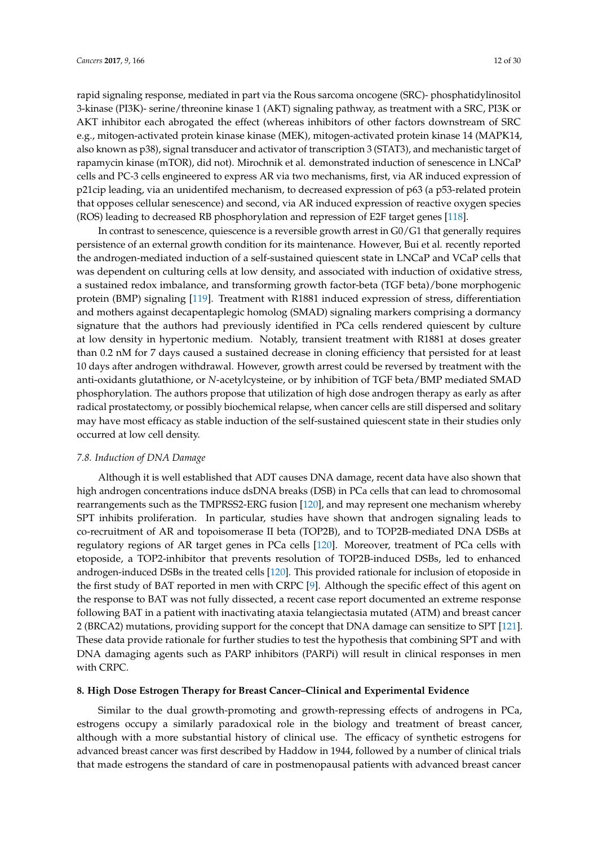rapid signaling response, mediated in part via the Rous sarcoma oncogene (SRC)- phosphatidylinositol 3-kinase (PI3K)- serine/threonine kinase 1 (AKT) signaling pathway, as treatment with a SRC, PI3K or AKT inhibitor each abrogated the effect (whereas inhibitors of other factors downstream of SRC e.g., mitogen-activated protein kinase kinase (MEK), mitogen-activated protein kinase 14 (MAPK14, also known as p38), signal transducer and activator of transcription 3 (STAT3), and mechanistic target of rapamycin kinase (mTOR), did not). Mirochnik et al. demonstrated induction of senescence in LNCaP cells and PC-3 cells engineered to express AR via two mechanisms, first, via AR induced expression of p21cip leading, via an unidentifed mechanism, to decreased expression of p63 (a p53-related protein that opposes cellular senescence) and second, via AR induced expression of reactive oxygen species (ROS) leading to decreased RB phosphorylation and repression of E2F target genes [\[118\]](#page-27-12).

In contrast to senescence, quiescence is a reversible growth arrest in G0/G1 that generally requires persistence of an external growth condition for its maintenance. However, Bui et al. recently reported the androgen-mediated induction of a self-sustained quiescent state in LNCaP and VCaP cells that was dependent on culturing cells at low density, and associated with induction of oxidative stress, a sustained redox imbalance, and transforming growth factor-beta (TGF beta)/bone morphogenic protein (BMP) signaling [\[119\]](#page-27-13). Treatment with R1881 induced expression of stress, differentiation and mothers against decapentaplegic homolog (SMAD) signaling markers comprising a dormancy signature that the authors had previously identified in PCa cells rendered quiescent by culture at low density in hypertonic medium. Notably, transient treatment with R1881 at doses greater than 0.2 nM for 7 days caused a sustained decrease in cloning efficiency that persisted for at least 10 days after androgen withdrawal. However, growth arrest could be reversed by treatment with the anti-oxidants glutathione, or *N*-acetylcysteine, or by inhibition of TGF beta/BMP mediated SMAD phosphorylation. The authors propose that utilization of high dose androgen therapy as early as after radical prostatectomy, or possibly biochemical relapse, when cancer cells are still dispersed and solitary may have most efficacy as stable induction of the self-sustained quiescent state in their studies only occurred at low cell density.

#### *7.8. Induction of DNA Damage*

Although it is well established that ADT causes DNA damage, recent data have also shown that high androgen concentrations induce dsDNA breaks (DSB) in PCa cells that can lead to chromosomal rearrangements such as the TMPRSS2-ERG fusion [\[120\]](#page-27-14), and may represent one mechanism whereby SPT inhibits proliferation. In particular, studies have shown that androgen signaling leads to co-recruitment of AR and topoisomerase II beta (TOP2B), and to TOP2B-mediated DNA DSBs at regulatory regions of AR target genes in PCa cells [\[120\]](#page-27-14). Moreover, treatment of PCa cells with etoposide, a TOP2-inhibitor that prevents resolution of TOP2B-induced DSBs, led to enhanced androgen-induced DSBs in the treated cells [\[120\]](#page-27-14). This provided rationale for inclusion of etoposide in the first study of BAT reported in men with CRPC [\[9\]](#page-21-5). Although the specific effect of this agent on the response to BAT was not fully dissected, a recent case report documented an extreme response following BAT in a patient with inactivating ataxia telangiectasia mutated (ATM) and breast cancer 2 (BRCA2) mutations, providing support for the concept that DNA damage can sensitize to SPT [\[121\]](#page-27-15). These data provide rationale for further studies to test the hypothesis that combining SPT and with DNA damaging agents such as PARP inhibitors (PARPi) will result in clinical responses in men with CRPC.

#### **8. High Dose Estrogen Therapy for Breast Cancer–Clinical and Experimental Evidence**

Similar to the dual growth-promoting and growth-repressing effects of androgens in PCa, estrogens occupy a similarly paradoxical role in the biology and treatment of breast cancer, although with a more substantial history of clinical use. The efficacy of synthetic estrogens for advanced breast cancer was first described by Haddow in 1944, followed by a number of clinical trials that made estrogens the standard of care in postmenopausal patients with advanced breast cancer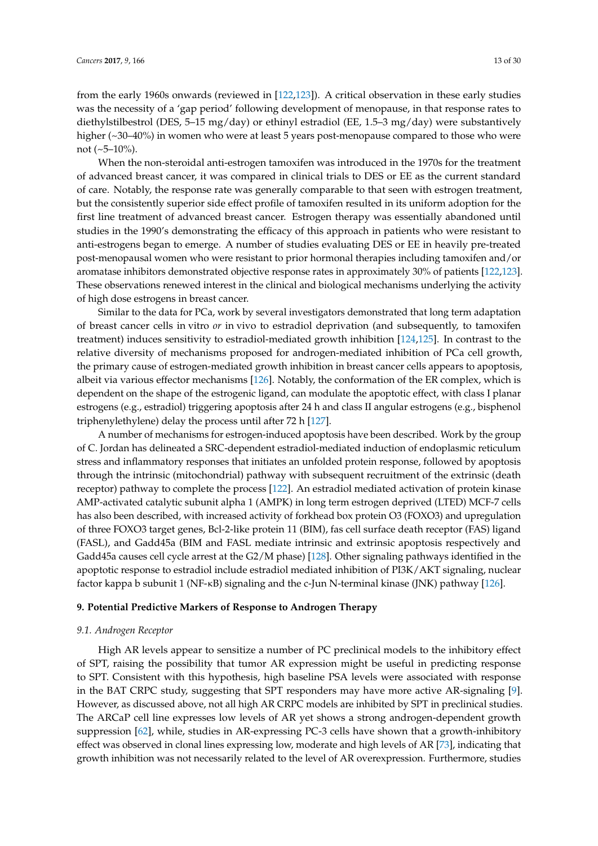from the early 1960s onwards (reviewed in [\[122](#page-27-16)[,123\]](#page-27-17)). A critical observation in these early studies was the necessity of a 'gap period' following development of menopause, in that response rates to diethylstilbestrol (DES, 5–15 mg/day) or ethinyl estradiol (EE, 1.5–3 mg/day) were substantively higher (~30–40%) in women who were at least 5 years post-menopause compared to those who were not  $(-5-10\%)$ .

When the non-steroidal anti-estrogen tamoxifen was introduced in the 1970s for the treatment of advanced breast cancer, it was compared in clinical trials to DES or EE as the current standard of care. Notably, the response rate was generally comparable to that seen with estrogen treatment, but the consistently superior side effect profile of tamoxifen resulted in its uniform adoption for the first line treatment of advanced breast cancer. Estrogen therapy was essentially abandoned until studies in the 1990's demonstrating the efficacy of this approach in patients who were resistant to anti-estrogens began to emerge. A number of studies evaluating DES or EE in heavily pre-treated post-menopausal women who were resistant to prior hormonal therapies including tamoxifen and/or aromatase inhibitors demonstrated objective response rates in approximately 30% of patients [\[122](#page-27-16)[,123\]](#page-27-17). These observations renewed interest in the clinical and biological mechanisms underlying the activity of high dose estrogens in breast cancer.

Similar to the data for PCa, work by several investigators demonstrated that long term adaptation of breast cancer cells in vitro *or* in vivo to estradiol deprivation (and subsequently, to tamoxifen treatment) induces sensitivity to estradiol-mediated growth inhibition [\[124,](#page-27-18)[125\]](#page-27-19). In contrast to the relative diversity of mechanisms proposed for androgen-mediated inhibition of PCa cell growth, the primary cause of estrogen-mediated growth inhibition in breast cancer cells appears to apoptosis, albeit via various effector mechanisms [\[126\]](#page-28-0). Notably, the conformation of the ER complex, which is dependent on the shape of the estrogenic ligand, can modulate the apoptotic effect, with class I planar estrogens (e.g., estradiol) triggering apoptosis after 24 h and class II angular estrogens (e.g., bisphenol triphenylethylene) delay the process until after 72 h [\[127\]](#page-28-1).

A number of mechanisms for estrogen-induced apoptosis have been described. Work by the group of C. Jordan has delineated a SRC-dependent estradiol-mediated induction of endoplasmic reticulum stress and inflammatory responses that initiates an unfolded protein response, followed by apoptosis through the intrinsic (mitochondrial) pathway with subsequent recruitment of the extrinsic (death receptor) pathway to complete the process [\[122\]](#page-27-16). An estradiol mediated activation of protein kinase AMP-activated catalytic subunit alpha 1 (AMPK) in long term estrogen deprived (LTED) MCF-7 cells has also been described, with increased activity of forkhead box protein O3 (FOXO3) and upregulation of three FOXO3 target genes, Bcl-2-like protein 11 (BIM), fas cell surface death receptor (FAS) ligand (FASL), and Gadd45a (BIM and FASL mediate intrinsic and extrinsic apoptosis respectively and Gadd45a causes cell cycle arrest at the G2/M phase) [\[128\]](#page-28-2). Other signaling pathways identified in the apoptotic response to estradiol include estradiol mediated inhibition of PI3K/AKT signaling, nuclear factor kappa b subunit 1 (NF-κB) signaling and the c-Jun N-terminal kinase (JNK) pathway [\[126\]](#page-28-0).

#### **9. Potential Predictive Markers of Response to Androgen Therapy**

#### *9.1. Androgen Receptor*

High AR levels appear to sensitize a number of PC preclinical models to the inhibitory effect of SPT, raising the possibility that tumor AR expression might be useful in predicting response to SPT. Consistent with this hypothesis, high baseline PSA levels were associated with response in the BAT CRPC study, suggesting that SPT responders may have more active AR-signaling [\[9\]](#page-21-5). However, as discussed above, not all high AR CRPC models are inhibited by SPT in preclinical studies. The ARCaP cell line expresses low levels of AR yet shows a strong androgen-dependent growth suppression [\[62\]](#page-24-12), while, studies in AR-expressing PC-3 cells have shown that a growth-inhibitory effect was observed in clonal lines expressing low, moderate and high levels of AR [\[73\]](#page-25-16), indicating that growth inhibition was not necessarily related to the level of AR overexpression. Furthermore, studies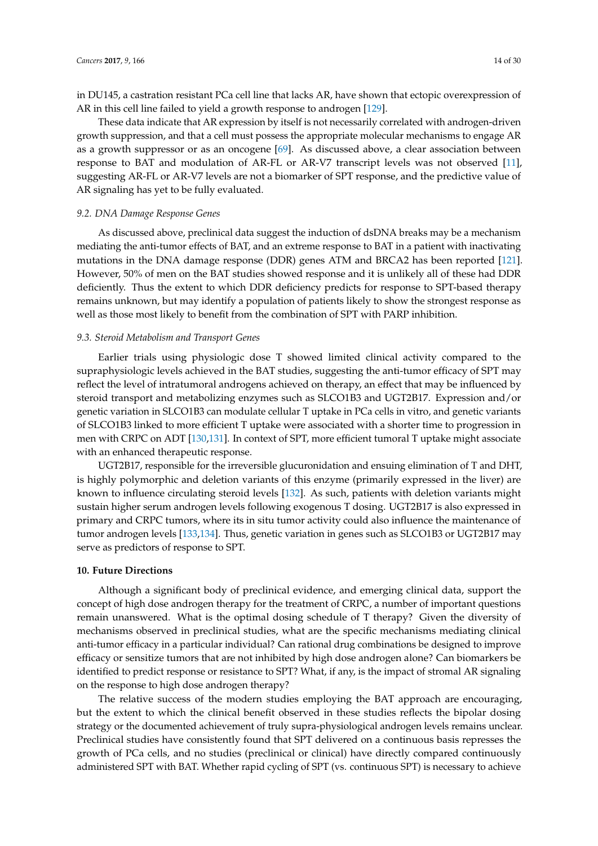in DU145, a castration resistant PCa cell line that lacks AR, have shown that ectopic overexpression of AR in this cell line failed to yield a growth response to androgen [\[129\]](#page-28-3).

These data indicate that AR expression by itself is not necessarily correlated with androgen-driven growth suppression, and that a cell must possess the appropriate molecular mechanisms to engage AR as a growth suppressor or as an oncogene [\[69\]](#page-25-0). As discussed above, a clear association between response to BAT and modulation of AR-FL or AR-V7 transcript levels was not observed [\[11\]](#page-21-6), suggesting AR-FL or AR-V7 levels are not a biomarker of SPT response, and the predictive value of AR signaling has yet to be fully evaluated.

#### *9.2. DNA Damage Response Genes*

As discussed above, preclinical data suggest the induction of dsDNA breaks may be a mechanism mediating the anti-tumor effects of BAT, and an extreme response to BAT in a patient with inactivating mutations in the DNA damage response (DDR) genes ATM and BRCA2 has been reported [\[121\]](#page-27-15). However, 50% of men on the BAT studies showed response and it is unlikely all of these had DDR deficiently. Thus the extent to which DDR deficiency predicts for response to SPT-based therapy remains unknown, but may identify a population of patients likely to show the strongest response as well as those most likely to benefit from the combination of SPT with PARP inhibition.

#### *9.3. Steroid Metabolism and Transport Genes*

Earlier trials using physiologic dose T showed limited clinical activity compared to the supraphysiologic levels achieved in the BAT studies, suggesting the anti-tumor efficacy of SPT may reflect the level of intratumoral androgens achieved on therapy, an effect that may be influenced by steroid transport and metabolizing enzymes such as SLCO1B3 and UGT2B17. Expression and/or genetic variation in SLCO1B3 can modulate cellular T uptake in PCa cells in vitro, and genetic variants of SLCO1B3 linked to more efficient T uptake were associated with a shorter time to progression in men with CRPC on ADT [\[130,](#page-28-4)[131\]](#page-28-5). In context of SPT, more efficient tumoral T uptake might associate with an enhanced therapeutic response.

UGT2B17, responsible for the irreversible glucuronidation and ensuing elimination of T and DHT, is highly polymorphic and deletion variants of this enzyme (primarily expressed in the liver) are known to influence circulating steroid levels [\[132\]](#page-28-6). As such, patients with deletion variants might sustain higher serum androgen levels following exogenous T dosing. UGT2B17 is also expressed in primary and CRPC tumors, where its in situ tumor activity could also influence the maintenance of tumor androgen levels [\[133,](#page-28-7)[134\]](#page-28-8). Thus, genetic variation in genes such as SLCO1B3 or UGT2B17 may serve as predictors of response to SPT.

#### **10. Future Directions**

Although a significant body of preclinical evidence, and emerging clinical data, support the concept of high dose androgen therapy for the treatment of CRPC, a number of important questions remain unanswered. What is the optimal dosing schedule of T therapy? Given the diversity of mechanisms observed in preclinical studies, what are the specific mechanisms mediating clinical anti-tumor efficacy in a particular individual? Can rational drug combinations be designed to improve efficacy or sensitize tumors that are not inhibited by high dose androgen alone? Can biomarkers be identified to predict response or resistance to SPT? What, if any, is the impact of stromal AR signaling on the response to high dose androgen therapy?

The relative success of the modern studies employing the BAT approach are encouraging, but the extent to which the clinical benefit observed in these studies reflects the bipolar dosing strategy or the documented achievement of truly supra-physiological androgen levels remains unclear. Preclinical studies have consistently found that SPT delivered on a continuous basis represses the growth of PCa cells, and no studies (preclinical or clinical) have directly compared continuously administered SPT with BAT. Whether rapid cycling of SPT (vs. continuous SPT) is necessary to achieve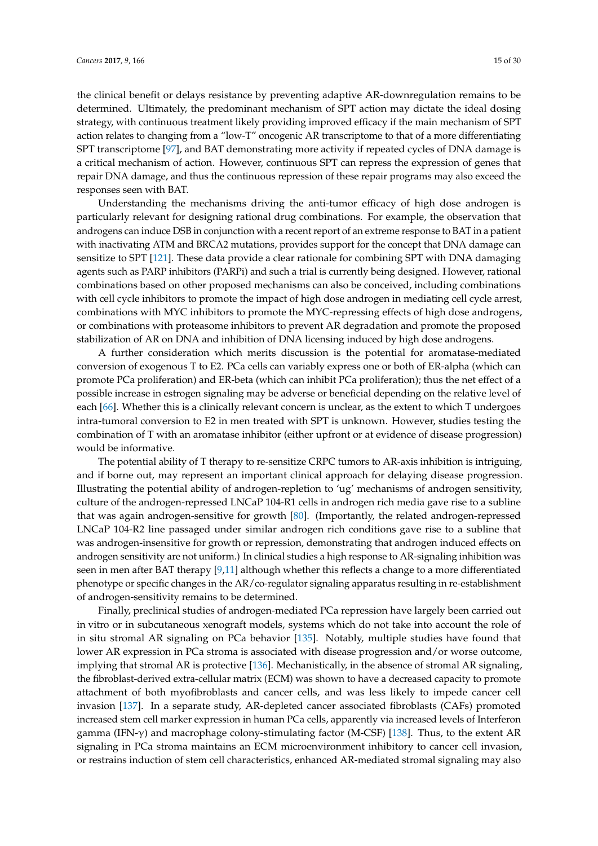the clinical benefit or delays resistance by preventing adaptive AR-downregulation remains to be determined. Ultimately, the predominant mechanism of SPT action may dictate the ideal dosing strategy, with continuous treatment likely providing improved efficacy if the main mechanism of SPT action relates to changing from a "low-T" oncogenic AR transcriptome to that of a more differentiating SPT transcriptome [\[97\]](#page-26-10), and BAT demonstrating more activity if repeated cycles of DNA damage is a critical mechanism of action. However, continuous SPT can repress the expression of genes that repair DNA damage, and thus the continuous repression of these repair programs may also exceed the responses seen with BAT.

Understanding the mechanisms driving the anti-tumor efficacy of high dose androgen is particularly relevant for designing rational drug combinations. For example, the observation that androgens can induce DSB in conjunction with a recent report of an extreme response to BAT in a patient with inactivating ATM and BRCA2 mutations, provides support for the concept that DNA damage can sensitize to SPT [\[121\]](#page-27-15). These data provide a clear rationale for combining SPT with DNA damaging agents such as PARP inhibitors (PARPi) and such a trial is currently being designed. However, rational combinations based on other proposed mechanisms can also be conceived, including combinations with cell cycle inhibitors to promote the impact of high dose androgen in mediating cell cycle arrest, combinations with MYC inhibitors to promote the MYC-repressing effects of high dose androgens, or combinations with proteasome inhibitors to prevent AR degradation and promote the proposed stabilization of AR on DNA and inhibition of DNA licensing induced by high dose androgens.

A further consideration which merits discussion is the potential for aromatase-mediated conversion of exogenous T to E2. PCa cells can variably express one or both of ER-alpha (which can promote PCa proliferation) and ER-beta (which can inhibit PCa proliferation); thus the net effect of a possible increase in estrogen signaling may be adverse or beneficial depending on the relative level of each [\[66\]](#page-24-16). Whether this is a clinically relevant concern is unclear, as the extent to which T undergoes intra-tumoral conversion to E2 in men treated with SPT is unknown. However, studies testing the combination of T with an aromatase inhibitor (either upfront or at evidence of disease progression) would be informative.

The potential ability of T therapy to re-sensitize CRPC tumors to AR-axis inhibition is intriguing, and if borne out, may represent an important clinical approach for delaying disease progression. Illustrating the potential ability of androgen-repletion to 'ug' mechanisms of androgen sensitivity, culture of the androgen-repressed LNCaP 104-R1 cells in androgen rich media gave rise to a subline that was again androgen-sensitive for growth [\[80\]](#page-25-7). (Importantly, the related androgen-repressed LNCaP 104-R2 line passaged under similar androgen rich conditions gave rise to a subline that was androgen-insensitive for growth or repression, demonstrating that androgen induced effects on androgen sensitivity are not uniform.) In clinical studies a high response to AR-signaling inhibition was seen in men after BAT therapy [\[9](#page-21-5)[,11\]](#page-21-6) although whether this reflects a change to a more differentiated phenotype or specific changes in the AR/co-regulator signaling apparatus resulting in re-establishment of androgen-sensitivity remains to be determined.

Finally, preclinical studies of androgen-mediated PCa repression have largely been carried out in vitro or in subcutaneous xenograft models, systems which do not take into account the role of in situ stromal AR signaling on PCa behavior [\[135\]](#page-28-9). Notably, multiple studies have found that lower AR expression in PCa stroma is associated with disease progression and/or worse outcome, implying that stromal AR is protective [\[136\]](#page-28-10). Mechanistically, in the absence of stromal AR signaling, the fibroblast-derived extra-cellular matrix (ECM) was shown to have a decreased capacity to promote attachment of both myofibroblasts and cancer cells, and was less likely to impede cancer cell invasion [\[137\]](#page-28-11). In a separate study, AR-depleted cancer associated fibroblasts (CAFs) promoted increased stem cell marker expression in human PCa cells, apparently via increased levels of Interferon gamma (IFN- $\gamma$ ) and macrophage colony-stimulating factor (M-CSF) [\[138\]](#page-28-12). Thus, to the extent AR signaling in PCa stroma maintains an ECM microenvironment inhibitory to cancer cell invasion, or restrains induction of stem cell characteristics, enhanced AR-mediated stromal signaling may also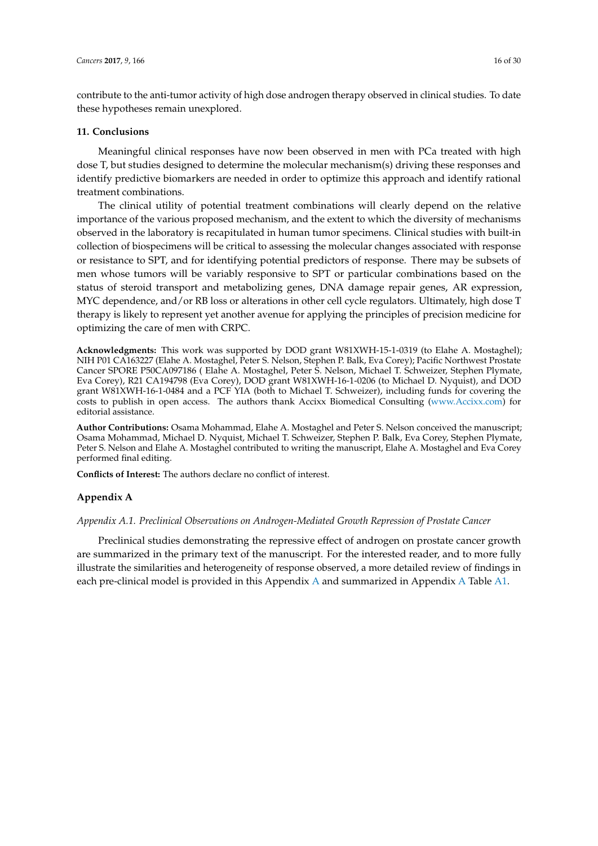contribute to the anti-tumor activity of high dose androgen therapy observed in clinical studies. To date these hypotheses remain unexplored.

#### **11. Conclusions**

Meaningful clinical responses have now been observed in men with PCa treated with high dose T, but studies designed to determine the molecular mechanism(s) driving these responses and identify predictive biomarkers are needed in order to optimize this approach and identify rational treatment combinations.

The clinical utility of potential treatment combinations will clearly depend on the relative importance of the various proposed mechanism, and the extent to which the diversity of mechanisms observed in the laboratory is recapitulated in human tumor specimens. Clinical studies with built-in collection of biospecimens will be critical to assessing the molecular changes associated with response or resistance to SPT, and for identifying potential predictors of response. There may be subsets of men whose tumors will be variably responsive to SPT or particular combinations based on the status of steroid transport and metabolizing genes, DNA damage repair genes, AR expression, MYC dependence, and/or RB loss or alterations in other cell cycle regulators. Ultimately, high dose T therapy is likely to represent yet another avenue for applying the principles of precision medicine for optimizing the care of men with CRPC.

**Acknowledgments:** This work was supported by DOD grant W81XWH-15-1-0319 (to Elahe A. Mostaghel); NIH P01 CA163227 (Elahe A. Mostaghel, Peter S. Nelson, Stephen P. Balk, Eva Corey); Pacific Northwest Prostate Cancer SPORE P50CA097186 ( Elahe A. Mostaghel, Peter S. Nelson, Michael T. Schweizer, Stephen Plymate, Eva Corey), R21 CA194798 (Eva Corey), DOD grant W81XWH-16-1-0206 (to Michael D. Nyquist), and DOD grant W81XWH-16-1-0484 and a PCF YIA (both to Michael T. Schweizer), including funds for covering the costs to publish in open access. The authors thank Accixx Biomedical Consulting [\(www.Accixx.com\)](www.Accixx.com) for editorial assistance.

**Author Contributions:** Osama Mohammad, Elahe A. Mostaghel and Peter S. Nelson conceived the manuscript; Osama Mohammad, Michael D. Nyquist, Michael T. Schweizer, Stephen P. Balk, Eva Corey, Stephen Plymate, Peter S. Nelson and Elahe A. Mostaghel contributed to writing the manuscript, Elahe A. Mostaghel and Eva Corey performed final editing.

**Conflicts of Interest:** The authors declare no conflict of interest.

#### <span id="page-15-0"></span>**Appendix A**

#### *Appendix A.1. Preclinical Observations on Androgen-Mediated Growth Repression of Prostate Cancer*

Preclinical studies demonstrating the repressive effect of androgen on prostate cancer growth are summarized in the primary text of the manuscript. For the interested reader, and to more fully illustrate the similarities and heterogeneity of response observed, a more detailed review of findings in each pre-clinical model is provided in this Appendix [A](#page-15-0) and summarized in Appendix [A](#page-15-0) Table [A1.](#page-17-0)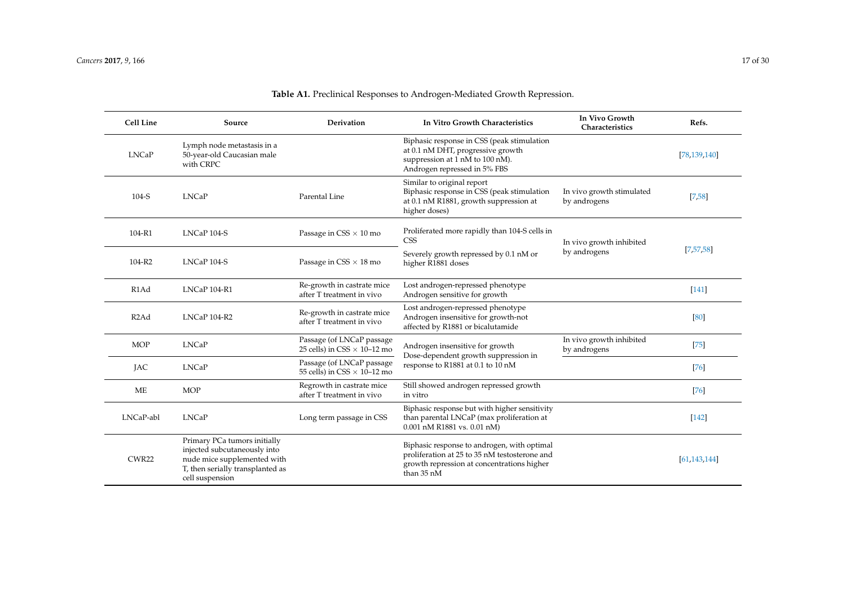| Cell Line         | Source                                                                                                                                             | <b>Derivation</b>                                               | In Vitro Growth Characteristics                                                                                                                          | In Vivo Growth<br>Characteristics         | Refs.          |
|-------------------|----------------------------------------------------------------------------------------------------------------------------------------------------|-----------------------------------------------------------------|----------------------------------------------------------------------------------------------------------------------------------------------------------|-------------------------------------------|----------------|
| <b>LNCaP</b>      | Lymph node metastasis in a<br>50-year-old Caucasian male<br>with CRPC                                                                              |                                                                 | Biphasic response in CSS (peak stimulation<br>at 0.1 nM DHT, progressive growth<br>suppression at 1 nM to 100 nM).<br>Androgen repressed in 5% FBS       |                                           | [78, 139, 140] |
| 104-S             | <b>LNCaP</b>                                                                                                                                       | Parental Line                                                   | Similar to original report<br>Biphasic response in CSS (peak stimulation<br>at 0.1 nM R1881, growth suppression at<br>higher doses)                      | In vivo growth stimulated<br>by androgens | [7,58]         |
| 104-R1            | LNCaP 104-S                                                                                                                                        | Passage in $CSS \times 10$ mo                                   | Proliferated more rapidly than 104-S cells in<br><b>CSS</b>                                                                                              | In vivo growth inhibited                  | [7,57,58]      |
| 104-R2            | LNCaP 104-S                                                                                                                                        | Passage in $CSS \times 18$ mo                                   | Severely growth repressed by 0.1 nM or<br>higher R1881 doses                                                                                             | by androgens                              |                |
| R <sub>1</sub> Ad | LNCaP 104-R1                                                                                                                                       | Re-growth in castrate mice<br>after T treatment in vivo         | Lost androgen-repressed phenotype<br>Androgen sensitive for growth                                                                                       |                                           | $[141]$        |
| R <sub>2</sub> Ad | LNCaP 104-R2                                                                                                                                       | Re-growth in castrate mice<br>after T treatment in vivo         | Lost androgen-repressed phenotype<br>Androgen insensitive for growth-not<br>affected by R1881 or bicalutamide                                            |                                           | [80]           |
| <b>MOP</b>        | <b>LNCaP</b>                                                                                                                                       | Passage (of LNCaP passage<br>25 cells) in CSS $\times$ 10–12 mo | Androgen insensitive for growth<br>Dose-dependent growth suppression in                                                                                  | In vivo growth inhibited<br>by androgens  | $[75]$         |
| <b>JAC</b>        | <b>LNCaP</b>                                                                                                                                       | Passage (of LNCaP passage<br>55 cells) in CSS $\times$ 10-12 mo | response to R1881 at 0.1 to 10 nM                                                                                                                        |                                           | $[76]$         |
| ME                | <b>MOP</b>                                                                                                                                         | Regrowth in castrate mice<br>after T treatment in vivo          | Still showed androgen repressed growth<br>in vitro                                                                                                       |                                           | $[76]$         |
| LNCaP-abl         | <b>LNCaP</b>                                                                                                                                       | Long term passage in CSS                                        | Biphasic response but with higher sensitivity<br>than parental LNCaP (max proliferation at<br>$0.001$ nM R1881 vs. $0.01$ nM)                            |                                           | $[142]$        |
| CWR22             | Primary PCa tumors initially<br>injected subcutaneously into<br>nude mice supplemented with<br>T, then serially transplanted as<br>cell suspension |                                                                 | Biphasic response to androgen, with optimal<br>proliferation at 25 to 35 nM testosterone and<br>growth repression at concentrations higher<br>than 35 nM |                                           | [61, 143, 144] |

# **Table A1.** Preclinical Responses to Androgen-Mediated Growth Repression.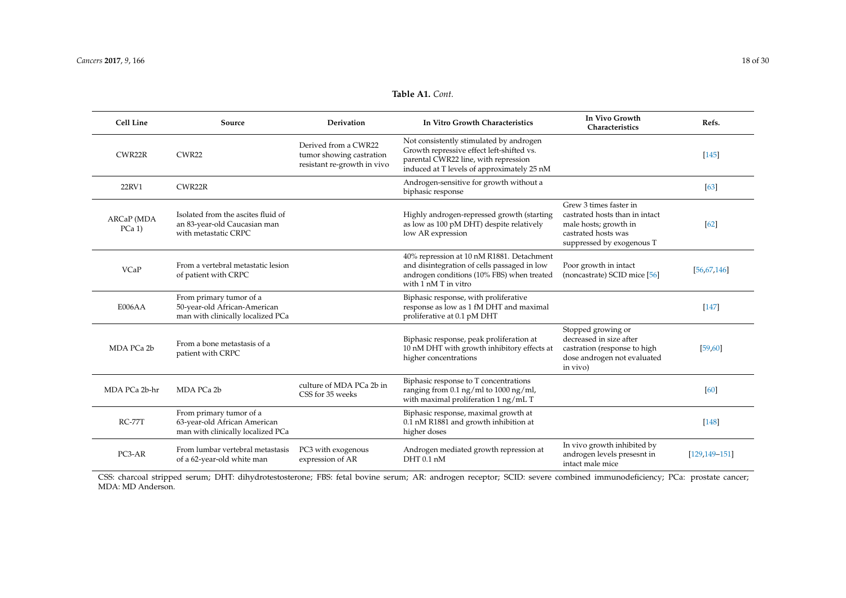# **Table A1.** *Cont.*

| Cell Line            | Source                                                                                       | Derivation                                                                      | In Vitro Growth Characteristics                                                                                                                                            | In Vivo Growth<br>Characteristics                                                                                                     | Refs.             |
|----------------------|----------------------------------------------------------------------------------------------|---------------------------------------------------------------------------------|----------------------------------------------------------------------------------------------------------------------------------------------------------------------------|---------------------------------------------------------------------------------------------------------------------------------------|-------------------|
| CWR22R               | CWR22                                                                                        | Derived from a CWR22<br>tumor showing castration<br>resistant re-growth in vivo | Not consistently stimulated by androgen<br>Growth repressive effect left-shifted vs.<br>parental CWR22 line, with repression<br>induced at T levels of approximately 25 nM |                                                                                                                                       | $[145]$           |
| 22RV1                | CWR22R                                                                                       |                                                                                 | Androgen-sensitive for growth without a<br>biphasic response                                                                                                               |                                                                                                                                       | [63]              |
| ARCaP (MDA<br>PCa 1) | Isolated from the ascites fluid of<br>an 83-year-old Caucasian man<br>with metastatic CRPC   |                                                                                 | Highly androgen-repressed growth (starting<br>as low as 100 pM DHT) despite relatively<br>low AR expression                                                                | Grew 3 times faster in<br>castrated hosts than in intact<br>male hosts; growth in<br>castrated hosts was<br>suppressed by exogenous T | [62]              |
| VCaP                 | From a vertebral metastatic lesion<br>of patient with CRPC                                   |                                                                                 | 40% repression at 10 nM R1881. Detachment<br>and disintegration of cells passaged in low<br>androgen conditions (10% FBS) when treated<br>with 1 nM T in vitro             | Poor growth in intact<br>(noncastrate) SCID mice [56]                                                                                 | [56, 67, 146]     |
| E006AA               | From primary tumor of a<br>50-year-old African-American<br>man with clinically localized PCa |                                                                                 | Biphasic response, with proliferative<br>response as low as 1 fM DHT and maximal<br>proliferative at 0.1 pM DHT                                                            |                                                                                                                                       | $[147]$           |
| MDA PCa 2b           | From a bone metastasis of a<br>patient with CRPC                                             |                                                                                 | Biphasic response, peak proliferation at<br>10 nM DHT with growth inhibitory effects at<br>higher concentrations                                                           | Stopped growing or<br>decreased in size after<br>castration (response to high<br>dose androgen not evaluated<br>in vivo)              | [59, 60]          |
| MDA PCa 2b-hr        | MDA PCa 2b                                                                                   | culture of MDA PCa 2b in<br>CSS for 35 weeks                                    | Biphasic response to T concentrations<br>ranging from 0.1 ng/ml to 1000 ng/ml,<br>with maximal proliferation 1 ng/mL T                                                     |                                                                                                                                       | [60]              |
| $RC-77T$             | From primary tumor of a<br>63-year-old African American<br>man with clinically localized PCa |                                                                                 | Biphasic response, maximal growth at<br>0.1 nM R1881 and growth inhibition at<br>higher doses                                                                              |                                                                                                                                       | $[148]$           |
| PC3-AR               | From lumbar vertebral metastasis<br>of a 62-year-old white man                               | PC3 with exogenous<br>expression of AR                                          | Androgen mediated growth repression at<br>DHT 0.1 nM                                                                                                                       | In vivo growth inhibited by<br>androgen levels presesnt in<br>intact male mice                                                        | $[129.149 - 151]$ |

<span id="page-17-0"></span>CSS: charcoal stripped serum; DHT: dihydrotestosterone; FBS: fetal bovine serum; AR: androgen receptor; SCID: severe combined immunodeficiency; PCa: prostate cancer; MDA: MD Anderson.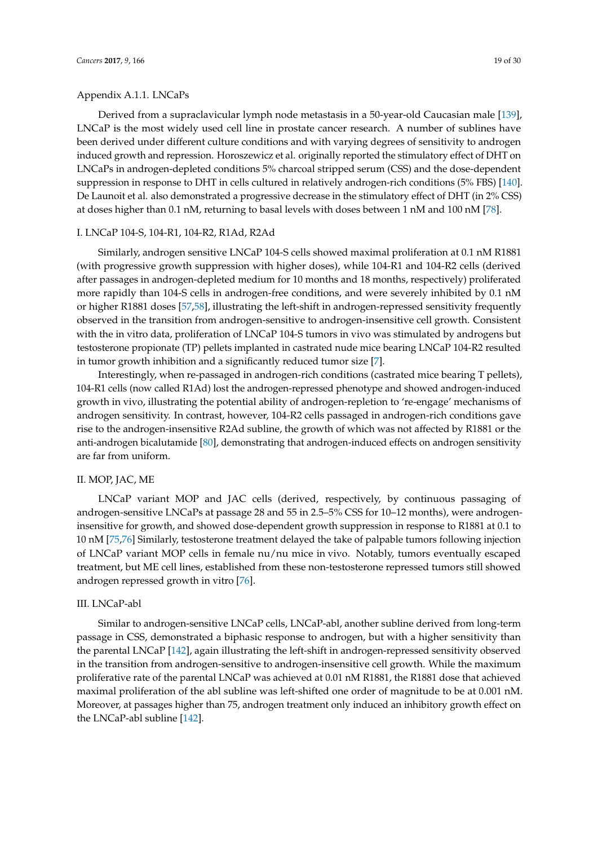Derived from a supraclavicular lymph node metastasis in a 50-year-old Caucasian male [\[139\]](#page-28-17), LNCaP is the most widely used cell line in prostate cancer research. A number of sublines have been derived under different culture conditions and with varying degrees of sensitivity to androgen induced growth and repression. Horoszewicz et al. originally reported the stimulatory effect of DHT on LNCaPs in androgen-depleted conditions 5% charcoal stripped serum (CSS) and the dose-dependent suppression in response to DHT in cells cultured in relatively androgen-rich conditions (5% FBS) [\[140\]](#page-28-18). De Launoit et al. also demonstrated a progressive decrease in the stimulatory effect of DHT (in 2% CSS) at doses higher than 0.1 nM, returning to basal levels with doses between 1 nM and 100 nM [\[78\]](#page-25-5).

#### I. LNCaP 104-S, 104-R1, 104-R2, R1Ad, R2Ad

Similarly, androgen sensitive LNCaP 104-S cells showed maximal proliferation at 0.1 nM R1881 (with progressive growth suppression with higher doses), while 104-R1 and 104-R2 cells (derived after passages in androgen-depleted medium for 10 months and 18 months, respectively) proliferated more rapidly than 104-S cells in androgen-free conditions, and were severely inhibited by 0.1 nM or higher R1881 doses [\[57](#page-24-7)[,58\]](#page-24-8), illustrating the left-shift in androgen-repressed sensitivity frequently observed in the transition from androgen-sensitive to androgen-insensitive cell growth. Consistent with the in vitro data, proliferation of LNCaP 104-S tumors in vivo was stimulated by androgens but testosterone propionate (TP) pellets implanted in castrated nude mice bearing LNCaP 104-R2 resulted in tumor growth inhibition and a significantly reduced tumor size [\[7\]](#page-21-10).

Interestingly, when re-passaged in androgen-rich conditions (castrated mice bearing T pellets), 104-R1 cells (now called R1Ad) lost the androgen-repressed phenotype and showed androgen-induced growth in vivo, illustrating the potential ability of androgen-repletion to 're-engage' mechanisms of androgen sensitivity. In contrast, however, 104-R2 cells passaged in androgen-rich conditions gave rise to the androgen-insensitive R2Ad subline, the growth of which was not affected by R1881 or the anti-androgen bicalutamide [\[80\]](#page-25-7), demonstrating that androgen-induced effects on androgen sensitivity are far from uniform.

#### II. MOP, JAC, ME

LNCaP variant MOP and JAC cells (derived, respectively, by continuous passaging of androgen-sensitive LNCaPs at passage 28 and 55 in 2.5–5% CSS for 10–12 months), were androgeninsensitive for growth, and showed dose-dependent growth suppression in response to R1881 at 0.1 to 10 nM [\[75](#page-25-15)[,76\]](#page-25-8) Similarly, testosterone treatment delayed the take of palpable tumors following injection of LNCaP variant MOP cells in female nu/nu mice in vivo. Notably, tumors eventually escaped treatment, but ME cell lines, established from these non-testosterone repressed tumors still showed androgen repressed growth in vitro [\[76\]](#page-25-8).

#### III. LNCaP-abl

Similar to androgen-sensitive LNCaP cells, LNCaP-abl, another subline derived from long-term passage in CSS, demonstrated a biphasic response to androgen, but with a higher sensitivity than the parental LNCaP [\[142\]](#page-28-19), again illustrating the left-shift in androgen-repressed sensitivity observed in the transition from androgen-sensitive to androgen-insensitive cell growth. While the maximum proliferative rate of the parental LNCaP was achieved at 0.01 nM R1881, the R1881 dose that achieved maximal proliferation of the abl subline was left-shifted one order of magnitude to be at 0.001 nM. Moreover, at passages higher than 75, androgen treatment only induced an inhibitory growth effect on the LNCaP-abl subline [\[142\]](#page-28-19).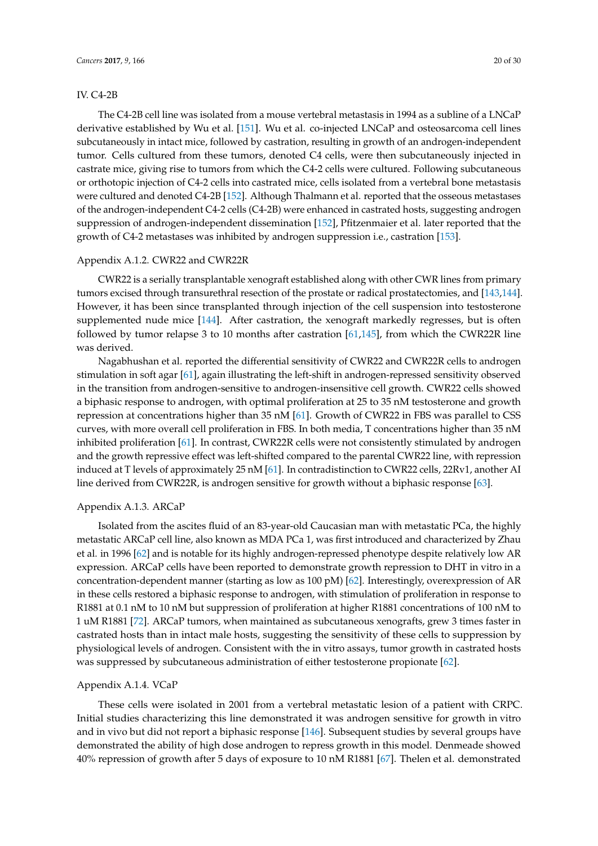#### IV. C4-2B

The C4-2B cell line was isolated from a mouse vertebral metastasis in 1994 as a subline of a LNCaP derivative established by Wu et al. [\[151\]](#page-29-8). Wu et al. co-injected LNCaP and osteosarcoma cell lines subcutaneously in intact mice, followed by castration, resulting in growth of an androgen-independent tumor. Cells cultured from these tumors, denoted C4 cells, were then subcutaneously injected in castrate mice, giving rise to tumors from which the C4-2 cells were cultured. Following subcutaneous or orthotopic injection of C4-2 cells into castrated mice, cells isolated from a vertebral bone metastasis were cultured and denoted C4-2B [\[152\]](#page-29-9). Although Thalmann et al. reported that the osseous metastases of the androgen-independent C4-2 cells (C4-2B) were enhanced in castrated hosts, suggesting androgen suppression of androgen-independent dissemination [\[152\]](#page-29-9), Pfitzenmaier et al. later reported that the growth of C4-2 metastases was inhibited by androgen suppression i.e., castration [\[153\]](#page-29-10).

#### Appendix A.1.2. CWR22 and CWR22R

CWR22 is a serially transplantable xenograft established along with other CWR lines from primary tumors excised through transurethral resection of the prostate or radical prostatectomies, and [\[143](#page-29-11)[,144\]](#page-29-12). However, it has been since transplanted through injection of the cell suspension into testosterone supplemented nude mice [\[144\]](#page-29-12). After castration, the xenograft markedly regresses, but is often followed by tumor relapse 3 to 10 months after castration [\[61,](#page-24-11)[145\]](#page-29-13), from which the CWR22R line was derived.

Nagabhushan et al. reported the differential sensitivity of CWR22 and CWR22R cells to androgen stimulation in soft agar [\[61\]](#page-24-11), again illustrating the left-shift in androgen-repressed sensitivity observed in the transition from androgen-sensitive to androgen-insensitive cell growth. CWR22 cells showed a biphasic response to androgen, with optimal proliferation at 25 to 35 nM testosterone and growth repression at concentrations higher than 35 nM [\[61\]](#page-24-11). Growth of CWR22 in FBS was parallel to CSS curves, with more overall cell proliferation in FBS. In both media, T concentrations higher than 35 nM inhibited proliferation [\[61\]](#page-24-11). In contrast, CWR22R cells were not consistently stimulated by androgen and the growth repressive effect was left-shifted compared to the parental CWR22 line, with repression induced at T levels of approximately 25 nM [\[61\]](#page-24-11). In contradistinction to CWR22 cells, 22Rv1, another AI line derived from CWR22R, is androgen sensitive for growth without a biphasic response [\[63\]](#page-24-13).

#### Appendix A.1.3. ARCaP

Isolated from the ascites fluid of an 83-year-old Caucasian man with metastatic PCa, the highly metastatic ARCaP cell line, also known as MDA PCa 1, was first introduced and characterized by Zhau et al. in 1996 [\[62\]](#page-24-12) and is notable for its highly androgen-repressed phenotype despite relatively low AR expression. ARCaP cells have been reported to demonstrate growth repression to DHT in vitro in a concentration-dependent manner (starting as low as 100 pM) [\[62\]](#page-24-12). Interestingly, overexpression of AR in these cells restored a biphasic response to androgen, with stimulation of proliferation in response to R1881 at 0.1 nM to 10 nM but suppression of proliferation at higher R1881 concentrations of 100 nM to 1 uM R1881 [\[72\]](#page-25-3). ARCaP tumors, when maintained as subcutaneous xenografts, grew 3 times faster in castrated hosts than in intact male hosts, suggesting the sensitivity of these cells to suppression by physiological levels of androgen. Consistent with the in vitro assays, tumor growth in castrated hosts was suppressed by subcutaneous administration of either testosterone propionate [\[62\]](#page-24-12).

#### Appendix A.1.4. VCaP

These cells were isolated in 2001 from a vertebral metastatic lesion of a patient with CRPC. Initial studies characterizing this line demonstrated it was androgen sensitive for growth in vitro and in vivo but did not report a biphasic response [\[146\]](#page-29-14). Subsequent studies by several groups have demonstrated the ability of high dose androgen to repress growth in this model. Denmeade showed 40% repression of growth after 5 days of exposure to 10 nM R1881 [\[67\]](#page-24-19). Thelen et al. demonstrated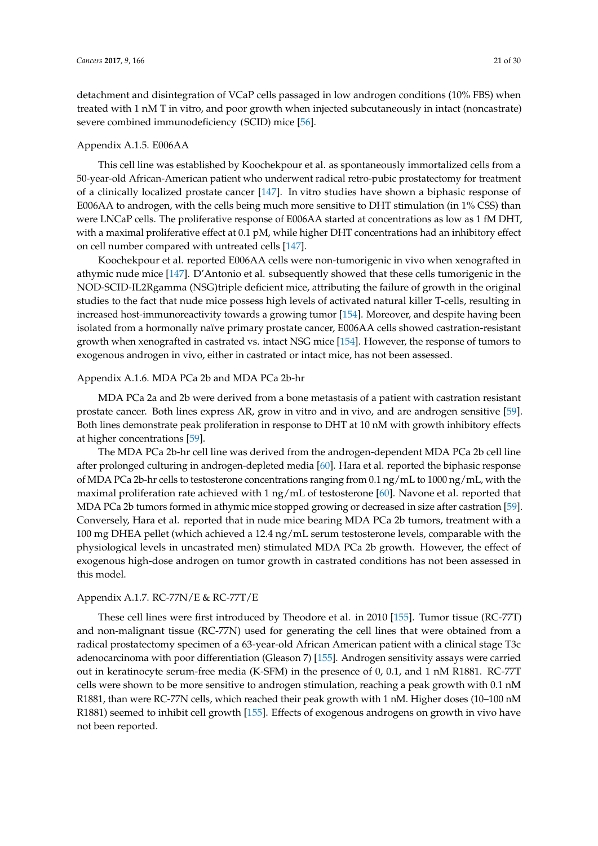detachment and disintegration of VCaP cells passaged in low androgen conditions (10% FBS) when treated with 1 nM T in vitro, and poor growth when injected subcutaneously in intact (noncastrate) severe combined immunodeficiency (SCID) mice [\[56\]](#page-24-6).

#### Appendix A.1.5. E006AA

This cell line was established by Koochekpour et al. as spontaneously immortalized cells from a 50-year-old African-American patient who underwent radical retro-pubic prostatectomy for treatment of a clinically localized prostate cancer [\[147\]](#page-29-15). In vitro studies have shown a biphasic response of E006AA to androgen, with the cells being much more sensitive to DHT stimulation (in 1% CSS) than were LNCaP cells. The proliferative response of E006AA started at concentrations as low as 1 fM DHT, with a maximal proliferative effect at 0.1 pM, while higher DHT concentrations had an inhibitory effect on cell number compared with untreated cells [\[147\]](#page-29-15).

Koochekpour et al. reported E006AA cells were non-tumorigenic in vivo when xenografted in athymic nude mice [\[147\]](#page-29-15). D'Antonio et al. subsequently showed that these cells tumorigenic in the NOD-SCID-IL2Rgamma (NSG)triple deficient mice, attributing the failure of growth in the original studies to the fact that nude mice possess high levels of activated natural killer T-cells, resulting in increased host-immunoreactivity towards a growing tumor [\[154\]](#page-29-16). Moreover, and despite having been isolated from a hormonally naïve primary prostate cancer, E006AA cells showed castration-resistant growth when xenografted in castrated vs. intact NSG mice [\[154\]](#page-29-16). However, the response of tumors to exogenous androgen in vivo, either in castrated or intact mice, has not been assessed.

#### Appendix A.1.6. MDA PCa 2b and MDA PCa 2b-hr

MDA PCa 2a and 2b were derived from a bone metastasis of a patient with castration resistant prostate cancer. Both lines express AR, grow in vitro and in vivo, and are androgen sensitive [\[59\]](#page-24-9). Both lines demonstrate peak proliferation in response to DHT at 10 nM with growth inhibitory effects at higher concentrations [\[59\]](#page-24-9).

The MDA PCa 2b-hr cell line was derived from the androgen-dependent MDA PCa 2b cell line after prolonged culturing in androgen-depleted media [\[60\]](#page-24-10). Hara et al. reported the biphasic response of MDA PCa 2b-hr cells to testosterone concentrations ranging from 0.1 ng/mL to 1000 ng/mL, with the maximal proliferation rate achieved with 1  $\frac{mg}{m}$ . of testosterone [\[60\]](#page-24-10). Navone et al. reported that MDA PCa 2b tumors formed in athymic mice stopped growing or decreased in size after castration [\[59\]](#page-24-9). Conversely, Hara et al. reported that in nude mice bearing MDA PCa 2b tumors, treatment with a 100 mg DHEA pellet (which achieved a 12.4 ng/mL serum testosterone levels, comparable with the physiological levels in uncastrated men) stimulated MDA PCa 2b growth. However, the effect of exogenous high-dose androgen on tumor growth in castrated conditions has not been assessed in this model.

# Appendix A.1.7. RC-77N/E & RC-77T/E

These cell lines were first introduced by Theodore et al. in 2010 [\[155\]](#page-29-17). Tumor tissue (RC-77T) and non-malignant tissue (RC-77N) used for generating the cell lines that were obtained from a radical prostatectomy specimen of a 63-year-old African American patient with a clinical stage T3c adenocarcinoma with poor differentiation (Gleason 7) [\[155\]](#page-29-17). Androgen sensitivity assays were carried out in keratinocyte serum-free media (K-SFM) in the presence of 0, 0.1, and 1 nM R1881. RC-77T cells were shown to be more sensitive to androgen stimulation, reaching a peak growth with 0.1 nM R1881, than were RC-77N cells, which reached their peak growth with 1 nM. Higher doses (10–100 nM R1881) seemed to inhibit cell growth [\[155\]](#page-29-17). Effects of exogenous androgens on growth in vivo have not been reported.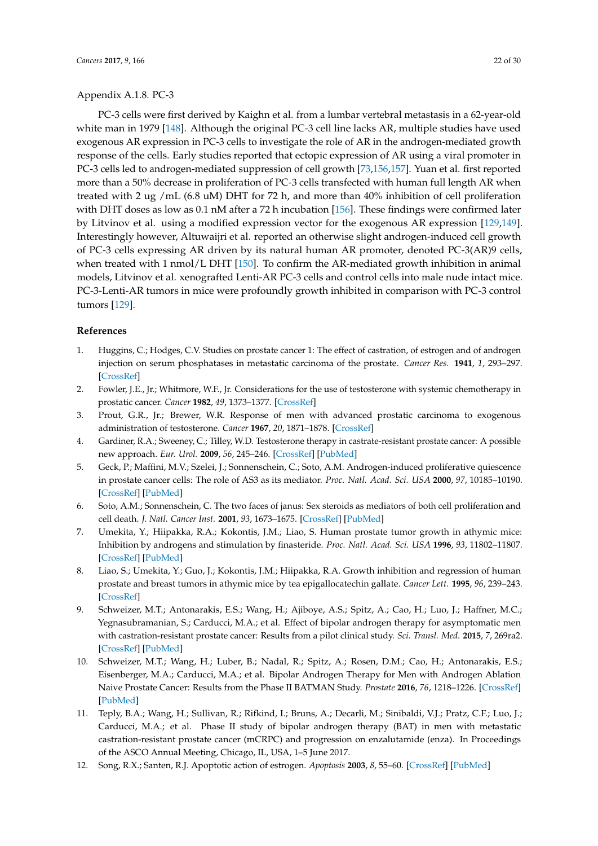#### Appendix A.1.8. PC-3

PC-3 cells were first derived by Kaighn et al. from a lumbar vertebral metastasis in a 62-year-old white man in 1979 [\[148\]](#page-29-18). Although the original PC-3 cell line lacks AR, multiple studies have used exogenous AR expression in PC-3 cells to investigate the role of AR in the androgen-mediated growth response of the cells. Early studies reported that ectopic expression of AR using a viral promoter in PC-3 cells led to androgen-mediated suppression of cell growth [\[73,](#page-25-16)[156](#page-29-19)[,157\]](#page-29-20). Yuan et al. first reported more than a 50% decrease in proliferation of PC-3 cells transfected with human full length AR when treated with 2 ug /mL (6.8 uM) DHT for 72 h, and more than 40% inhibition of cell proliferation with DHT doses as low as 0.1 nM after a 72 h incubation [\[156\]](#page-29-19). These findings were confirmed later by Litvinov et al. using a modified expression vector for the exogenous AR expression [\[129,](#page-28-3)[149\]](#page-29-21). Interestingly however, Altuwaijri et al. reported an otherwise slight androgen-induced cell growth of PC-3 cells expressing AR driven by its natural human AR promoter, denoted PC-3(AR)9 cells, when treated with 1 nmol/L DHT [\[150\]](#page-29-22). To confirm the AR-mediated growth inhibition in animal models, Litvinov et al. xenografted Lenti-AR PC-3 cells and control cells into male nude intact mice. PC-3-Lenti-AR tumors in mice were profoundly growth inhibited in comparison with PC-3 control tumors [\[129\]](#page-28-3).

## <span id="page-21-14"></span>**References**

- <span id="page-21-11"></span><span id="page-21-0"></span>1. Huggins, C.; Hodges, C.V. Studies on prostate cancer 1: The effect of castration, of estrogen and of androgen injection on serum phosphatases in metastatic carcinoma of the prostate. *Cancer Res.* **1941**, *1*, 293–297. [\[CrossRef\]](http://dx.doi.org/10.3322/canjclin.22.4.232)
- <span id="page-21-1"></span>2. Fowler, J.E., Jr.; Whitmore, W.F., Jr. Considerations for the use of testosterone with systemic chemotherapy in prostatic cancer. *Cancer* **1982**, *49*, 1373–1377. [\[CrossRef\]](http://dx.doi.org/10.1002/1097-0142(19820401)49:7<1373::AID-CNCR2820490712>3.0.CO;2-G)
- <span id="page-21-9"></span>3. Prout, G.R., Jr.; Brewer, W.R. Response of men with advanced prostatic carcinoma to exogenous administration of testosterone. *Cancer* **1967**, *20*, 1871–1878. [\[CrossRef\]](http://dx.doi.org/10.1002/1097-0142(196711)20:11<1871::AID-CNCR2820201112>3.0.CO;2-D)
- <span id="page-21-2"></span>4. Gardiner, R.A.; Sweeney, C.; Tilley, W.D. Testosterone therapy in castrate-resistant prostate cancer: A possible new approach. *Eur. Urol.* **2009**, *56*, 245–246. [\[CrossRef\]](http://dx.doi.org/10.1016/j.eururo.2009.04.030) [\[PubMed\]](http://www.ncbi.nlm.nih.gov/pubmed/19409691)
- <span id="page-21-12"></span><span id="page-21-3"></span>5. Geck, P.; Maffini, M.V.; Szelei, J.; Sonnenschein, C.; Soto, A.M. Androgen-induced proliferative quiescence in prostate cancer cells: The role of AS3 as its mediator. *Proc. Natl. Acad. Sci. USA* **2000**, *97*, 10185–10190. [\[CrossRef\]](http://dx.doi.org/10.1073/pnas.97.18.10185) [\[PubMed\]](http://www.ncbi.nlm.nih.gov/pubmed/10963680)
- <span id="page-21-8"></span>6. Soto, A.M.; Sonnenschein, C. The two faces of janus: Sex steroids as mediators of both cell proliferation and cell death. *J. Natl. Cancer Inst.* **2001**, *93*, 1673–1675. [\[CrossRef\]](http://dx.doi.org/10.1093/jnci/93.22.1673) [\[PubMed\]](http://www.ncbi.nlm.nih.gov/pubmed/11717320)
- <span id="page-21-10"></span>7. Umekita, Y.; Hiipakka, R.A.; Kokontis, J.M.; Liao, S. Human prostate tumor growth in athymic mice: Inhibition by androgens and stimulation by finasteride. *Proc. Natl. Acad. Sci. USA* **1996**, *93*, 11802–11807. [\[CrossRef\]](http://dx.doi.org/10.1073/pnas.93.21.11802) [\[PubMed\]](http://www.ncbi.nlm.nih.gov/pubmed/8876218)
- <span id="page-21-4"></span>8. Liao, S.; Umekita, Y.; Guo, J.; Kokontis, J.M.; Hiipakka, R.A. Growth inhibition and regression of human prostate and breast tumors in athymic mice by tea epigallocatechin gallate. *Cancer Lett.* **1995**, *96*, 239–243. [\[CrossRef\]](http://dx.doi.org/10.1016/0304-3835(95)03948-V)
- <span id="page-21-5"></span>9. Schweizer, M.T.; Antonarakis, E.S.; Wang, H.; Ajiboye, A.S.; Spitz, A.; Cao, H.; Luo, J.; Haffner, M.C.; Yegnasubramanian, S.; Carducci, M.A.; et al. Effect of bipolar androgen therapy for asymptomatic men with castration-resistant prostate cancer: Results from a pilot clinical study. *Sci. Transl. Med.* **2015**, *7*, 269ra2. [\[CrossRef\]](http://dx.doi.org/10.1126/scitranslmed.3010563) [\[PubMed\]](http://www.ncbi.nlm.nih.gov/pubmed/25568070)
- <span id="page-21-13"></span>10. Schweizer, M.T.; Wang, H.; Luber, B.; Nadal, R.; Spitz, A.; Rosen, D.M.; Cao, H.; Antonarakis, E.S.; Eisenberger, M.A.; Carducci, M.A.; et al. Bipolar Androgen Therapy for Men with Androgen Ablation Naive Prostate Cancer: Results from the Phase II BATMAN Study. *Prostate* **2016**, *76*, 1218–1226. [\[CrossRef\]](http://dx.doi.org/10.1002/pros.23209) [\[PubMed\]](http://www.ncbi.nlm.nih.gov/pubmed/27338150)
- <span id="page-21-6"></span>11. Teply, B.A.; Wang, H.; Sullivan, R.; Rifkind, I.; Bruns, A.; Decarli, M.; Sinibaldi, V.J.; Pratz, C.F.; Luo, J.; Carducci, M.A.; et al. Phase II study of bipolar androgen therapy (BAT) in men with metastatic castration-resistant prostate cancer (mCRPC) and progression on enzalutamide (enza). In Proceedings of the ASCO Annual Meeting, Chicago, IL, USA, 1–5 June 2017.
- <span id="page-21-7"></span>12. Song, R.X.; Santen, R.J. Apoptotic action of estrogen. *Apoptosis* **2003**, *8*, 55–60. [\[CrossRef\]](http://dx.doi.org/10.1023/A:1021649019025) [\[PubMed\]](http://www.ncbi.nlm.nih.gov/pubmed/12510152)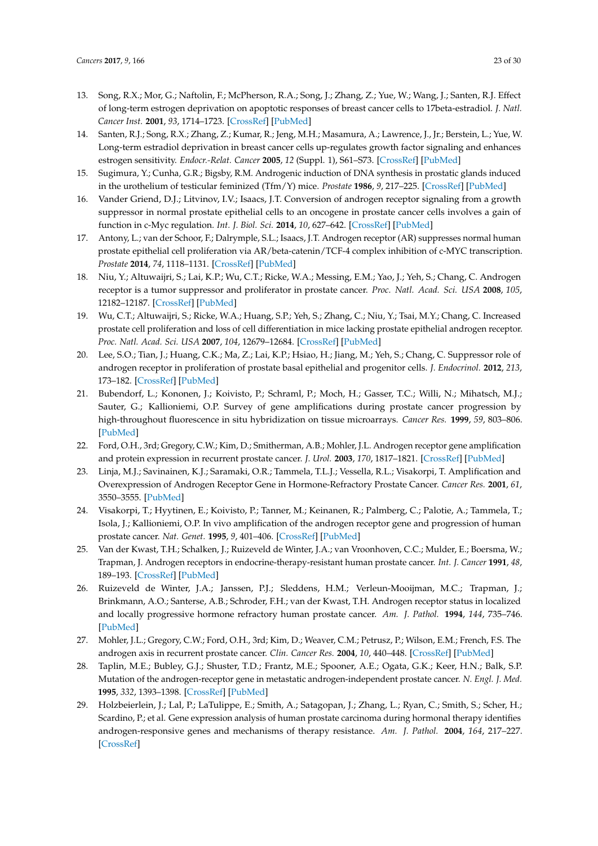- 13. Song, R.X.; Mor, G.; Naftolin, F.; McPherson, R.A.; Song, J.; Zhang, Z.; Yue, W.; Wang, J.; Santen, R.J. Effect of long-term estrogen deprivation on apoptotic responses of breast cancer cells to 17beta-estradiol. *J. Natl. Cancer Inst.* **2001**, *93*, 1714–1723. [\[CrossRef\]](http://dx.doi.org/10.1093/jnci/93.22.1714) [\[PubMed\]](http://www.ncbi.nlm.nih.gov/pubmed/11717332)
- <span id="page-22-0"></span>14. Santen, R.J.; Song, R.X.; Zhang, Z.; Kumar, R.; Jeng, M.H.; Masamura, A.; Lawrence, J., Jr.; Berstein, L.; Yue, W. Long-term estradiol deprivation in breast cancer cells up-regulates growth factor signaling and enhances estrogen sensitivity. *Endocr.-Relat. Cancer* **2005**, *12* (Suppl. 1), S61–S73. [\[CrossRef\]](http://dx.doi.org/10.1677/erc.1.01018) [\[PubMed\]](http://www.ncbi.nlm.nih.gov/pubmed/16113100)
- <span id="page-22-1"></span>15. Sugimura, Y.; Cunha, G.R.; Bigsby, R.M. Androgenic induction of DNA synthesis in prostatic glands induced in the urothelium of testicular feminized (Tfm/Y) mice. *Prostate* **1986**, *9*, 217–225. [\[CrossRef\]](http://dx.doi.org/10.1002/pros.2990090302) [\[PubMed\]](http://www.ncbi.nlm.nih.gov/pubmed/2946028)
- <span id="page-22-2"></span>16. Vander Griend, D.J.; Litvinov, I.V.; Isaacs, J.T. Conversion of androgen receptor signaling from a growth suppressor in normal prostate epithelial cells to an oncogene in prostate cancer cells involves a gain of function in c-Myc regulation. *Int. J. Biol. Sci.* **2014**, *10*, 627–642. [\[CrossRef\]](http://dx.doi.org/10.7150/ijbs.8756) [\[PubMed\]](http://www.ncbi.nlm.nih.gov/pubmed/24948876)
- <span id="page-22-3"></span>17. Antony, L.; van der Schoor, F.; Dalrymple, S.L.; Isaacs, J.T. Androgen receptor (AR) suppresses normal human prostate epithelial cell proliferation via AR/beta-catenin/TCF-4 complex inhibition of c-MYC transcription. *Prostate* **2014**, *74*, 1118–1131. [\[CrossRef\]](http://dx.doi.org/10.1002/pros.22828) [\[PubMed\]](http://www.ncbi.nlm.nih.gov/pubmed/24913829)
- <span id="page-22-4"></span>18. Niu, Y.; Altuwaijri, S.; Lai, K.P.; Wu, C.T.; Ricke, W.A.; Messing, E.M.; Yao, J.; Yeh, S.; Chang, C. Androgen receptor is a tumor suppressor and proliferator in prostate cancer. *Proc. Natl. Acad. Sci. USA* **2008**, *105*, 12182–12187. [\[CrossRef\]](http://dx.doi.org/10.1073/pnas.0804700105) [\[PubMed\]](http://www.ncbi.nlm.nih.gov/pubmed/18723679)
- 19. Wu, C.T.; Altuwaijri, S.; Ricke, W.A.; Huang, S.P.; Yeh, S.; Zhang, C.; Niu, Y.; Tsai, M.Y.; Chang, C. Increased prostate cell proliferation and loss of cell differentiation in mice lacking prostate epithelial androgen receptor. *Proc. Natl. Acad. Sci. USA* **2007**, *104*, 12679–12684. [\[CrossRef\]](http://dx.doi.org/10.1073/pnas.0704940104) [\[PubMed\]](http://www.ncbi.nlm.nih.gov/pubmed/17652515)
- <span id="page-22-5"></span>20. Lee, S.O.; Tian, J.; Huang, C.K.; Ma, Z.; Lai, K.P.; Hsiao, H.; Jiang, M.; Yeh, S.; Chang, C. Suppressor role of androgen receptor in proliferation of prostate basal epithelial and progenitor cells. *J. Endocrinol.* **2012**, *213*, 173–182. [\[CrossRef\]](http://dx.doi.org/10.1530/JOE-11-0474) [\[PubMed\]](http://www.ncbi.nlm.nih.gov/pubmed/22393245)
- <span id="page-22-6"></span>21. Bubendorf, L.; Kononen, J.; Koivisto, P.; Schraml, P.; Moch, H.; Gasser, T.C.; Willi, N.; Mihatsch, M.J.; Sauter, G.; Kallioniemi, O.P. Survey of gene amplifications during prostate cancer progression by high-throughout fluorescence in situ hybridization on tissue microarrays. *Cancer Res.* **1999**, *59*, 803–806. [\[PubMed\]](http://www.ncbi.nlm.nih.gov/pubmed/10029066)
- 22. Ford, O.H., 3rd; Gregory, C.W.; Kim, D.; Smitherman, A.B.; Mohler, J.L. Androgen receptor gene amplification and protein expression in recurrent prostate cancer. *J. Urol.* **2003**, *170*, 1817–1821. [\[CrossRef\]](http://dx.doi.org/10.1097/01.ju.0000091873.09677.f4) [\[PubMed\]](http://www.ncbi.nlm.nih.gov/pubmed/14532783)
- 23. Linja, M.J.; Savinainen, K.J.; Saramaki, O.R.; Tammela, T.L.J.; Vessella, R.L.; Visakorpi, T. Amplification and Overexpression of Androgen Receptor Gene in Hormone-Refractory Prostate Cancer. *Cancer Res.* **2001**, *61*, 3550–3555. [\[PubMed\]](http://www.ncbi.nlm.nih.gov/pubmed/11325816)
- 24. Visakorpi, T.; Hyytinen, E.; Koivisto, P.; Tanner, M.; Keinanen, R.; Palmberg, C.; Palotie, A.; Tammela, T.; Isola, J.; Kallioniemi, O.P. In vivo amplification of the androgen receptor gene and progression of human prostate cancer. *Nat. Genet.* **1995**, *9*, 401–406. [\[CrossRef\]](http://dx.doi.org/10.1038/ng0495-401) [\[PubMed\]](http://www.ncbi.nlm.nih.gov/pubmed/7795646)
- 25. Van der Kwast, T.H.; Schalken, J.; Ruizeveld de Winter, J.A.; van Vroonhoven, C.C.; Mulder, E.; Boersma, W.; Trapman, J. Androgen receptors in endocrine-therapy-resistant human prostate cancer. *Int. J. Cancer* **1991**, *48*, 189–193. [\[CrossRef\]](http://dx.doi.org/10.1002/ijc.2910480206) [\[PubMed\]](http://www.ncbi.nlm.nih.gov/pubmed/1708363)
- 26. Ruizeveld de Winter, J.A.; Janssen, P.J.; Sleddens, H.M.; Verleun-Mooijman, M.C.; Trapman, J.; Brinkmann, A.O.; Santerse, A.B.; Schroder, F.H.; van der Kwast, T.H. Androgen receptor status in localized and locally progressive hormone refractory human prostate cancer. *Am. J. Pathol.* **1994**, *144*, 735–746. [\[PubMed\]](http://www.ncbi.nlm.nih.gov/pubmed/7512791)
- 27. Mohler, J.L.; Gregory, C.W.; Ford, O.H., 3rd; Kim, D.; Weaver, C.M.; Petrusz, P.; Wilson, E.M.; French, F.S. The androgen axis in recurrent prostate cancer. *Clin. Cancer Res.* **2004**, *10*, 440–448. [\[CrossRef\]](http://dx.doi.org/10.1158/1078-0432.CCR-1146-03) [\[PubMed\]](http://www.ncbi.nlm.nih.gov/pubmed/14760063)
- 28. Taplin, M.E.; Bubley, G.J.; Shuster, T.D.; Frantz, M.E.; Spooner, A.E.; Ogata, G.K.; Keer, H.N.; Balk, S.P. Mutation of the androgen-receptor gene in metastatic androgen-independent prostate cancer. *N. Engl. J. Med.* **1995**, *332*, 1393–1398. [\[CrossRef\]](http://dx.doi.org/10.1056/NEJM199505253322101) [\[PubMed\]](http://www.ncbi.nlm.nih.gov/pubmed/7723794)
- 29. Holzbeierlein, J.; Lal, P.; LaTulippe, E.; Smith, A.; Satagopan, J.; Zhang, L.; Ryan, C.; Smith, S.; Scher, H.; Scardino, P.; et al. Gene expression analysis of human prostate carcinoma during hormonal therapy identifies androgen-responsive genes and mechanisms of therapy resistance. *Am. J. Pathol.* **2004**, *164*, 217–227. [\[CrossRef\]](http://dx.doi.org/10.1016/S0002-9440(10)63112-4)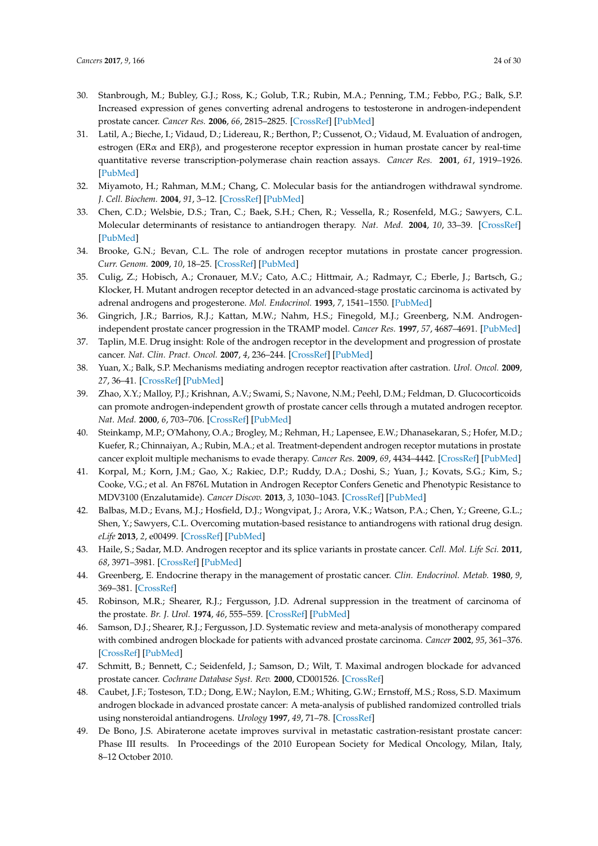- 30. Stanbrough, M.; Bubley, G.J.; Ross, K.; Golub, T.R.; Rubin, M.A.; Penning, T.M.; Febbo, P.G.; Balk, S.P. Increased expression of genes converting adrenal androgens to testosterone in androgen-independent prostate cancer. *Cancer Res.* **2006**, *66*, 2815–2825. [\[CrossRef\]](http://dx.doi.org/10.1158/0008-5472.CAN-05-4000) [\[PubMed\]](http://www.ncbi.nlm.nih.gov/pubmed/16510604)
- 31. Latil, A.; Bieche, I.; Vidaud, D.; Lidereau, R.; Berthon, P.; Cussenot, O.; Vidaud, M. Evaluation of androgen, estrogen (ERα and ERβ), and progesterone receptor expression in human prostate cancer by real-time quantitative reverse transcription-polymerase chain reaction assays. *Cancer Res.* **2001**, *61*, 1919–1926. [\[PubMed\]](http://www.ncbi.nlm.nih.gov/pubmed/11280747)
- 32. Miyamoto, H.; Rahman, M.M.; Chang, C. Molecular basis for the antiandrogen withdrawal syndrome. *J. Cell. Biochem.* **2004**, *91*, 3–12. [\[CrossRef\]](http://dx.doi.org/10.1002/jcb.10757) [\[PubMed\]](http://www.ncbi.nlm.nih.gov/pubmed/14689576)
- <span id="page-23-1"></span>33. Chen, C.D.; Welsbie, D.S.; Tran, C.; Baek, S.H.; Chen, R.; Vessella, R.; Rosenfeld, M.G.; Sawyers, C.L. Molecular determinants of resistance to antiandrogen therapy. *Nat. Med.* **2004**, *10*, 33–39. [\[CrossRef\]](http://dx.doi.org/10.1038/nm972) [\[PubMed\]](http://www.ncbi.nlm.nih.gov/pubmed/14702632)
- 34. Brooke, G.N.; Bevan, C.L. The role of androgen receptor mutations in prostate cancer progression. *Curr. Genom.* **2009**, *10*, 18–25. [\[CrossRef\]](http://dx.doi.org/10.2174/138920209787581307) [\[PubMed\]](http://www.ncbi.nlm.nih.gov/pubmed/19721807)
- 35. Culig, Z.; Hobisch, A.; Cronauer, M.V.; Cato, A.C.; Hittmair, A.; Radmayr, C.; Eberle, J.; Bartsch, G.; Klocker, H. Mutant androgen receptor detected in an advanced-stage prostatic carcinoma is activated by adrenal androgens and progesterone. *Mol. Endocrinol.* **1993**, *7*, 1541–1550. [\[PubMed\]](http://www.ncbi.nlm.nih.gov/pubmed/8145761)
- <span id="page-23-3"></span>36. Gingrich, J.R.; Barrios, R.J.; Kattan, M.W.; Nahm, H.S.; Finegold, M.J.; Greenberg, N.M. Androgenindependent prostate cancer progression in the TRAMP model. *Cancer Res.* **1997**, *57*, 4687–4691. [\[PubMed\]](http://www.ncbi.nlm.nih.gov/pubmed/9354422)
- 37. Taplin, M.E. Drug insight: Role of the androgen receptor in the development and progression of prostate cancer. *Nat. Clin. Pract. Oncol.* **2007**, *4*, 236–244. [\[CrossRef\]](http://dx.doi.org/10.1038/ncponc0765) [\[PubMed\]](http://www.ncbi.nlm.nih.gov/pubmed/17392714)
- 38. Yuan, X.; Balk, S.P. Mechanisms mediating androgen receptor reactivation after castration. *Urol. Oncol.* **2009**, *27*, 36–41. [\[CrossRef\]](http://dx.doi.org/10.1016/j.urolonc.2008.03.021) [\[PubMed\]](http://www.ncbi.nlm.nih.gov/pubmed/19111796)
- 39. Zhao, X.Y.; Malloy, P.J.; Krishnan, A.V.; Swami, S.; Navone, N.M.; Peehl, D.M.; Feldman, D. Glucocorticoids can promote androgen-independent growth of prostate cancer cells through a mutated androgen receptor. *Nat. Med.* **2000**, *6*, 703–706. [\[CrossRef\]](http://dx.doi.org/10.1038/76287) [\[PubMed\]](http://www.ncbi.nlm.nih.gov/pubmed/10835690)
- 40. Steinkamp, M.P.; O'Mahony, O.A.; Brogley, M.; Rehman, H.; Lapensee, E.W.; Dhanasekaran, S.; Hofer, M.D.; Kuefer, R.; Chinnaiyan, A.; Rubin, M.A.; et al. Treatment-dependent androgen receptor mutations in prostate cancer exploit multiple mechanisms to evade therapy. *Cancer Res.* **2009**, *69*, 4434–4442. [\[CrossRef\]](http://dx.doi.org/10.1158/0008-5472.CAN-08-3605) [\[PubMed\]](http://www.ncbi.nlm.nih.gov/pubmed/19366804)
- 41. Korpal, M.; Korn, J.M.; Gao, X.; Rakiec, D.P.; Ruddy, D.A.; Doshi, S.; Yuan, J.; Kovats, S.G.; Kim, S.; Cooke, V.G.; et al. An F876L Mutation in Androgen Receptor Confers Genetic and Phenotypic Resistance to MDV3100 (Enzalutamide). *Cancer Discov.* **2013**, *3*, 1030–1043. [\[CrossRef\]](http://dx.doi.org/10.1158/2159-8290.CD-13-0142) [\[PubMed\]](http://www.ncbi.nlm.nih.gov/pubmed/23842682)
- 42. Balbas, M.D.; Evans, M.J.; Hosfield, D.J.; Wongvipat, J.; Arora, V.K.; Watson, P.A.; Chen, Y.; Greene, G.L.; Shen, Y.; Sawyers, C.L. Overcoming mutation-based resistance to antiandrogens with rational drug design. *eLife* **2013**, *2*, e00499. [\[CrossRef\]](http://dx.doi.org/10.7554/eLife.00499) [\[PubMed\]](http://www.ncbi.nlm.nih.gov/pubmed/23580326)
- <span id="page-23-0"></span>43. Haile, S.; Sadar, M.D. Androgen receptor and its splice variants in prostate cancer. *Cell. Mol. Life Sci.* **2011**, *68*, 3971–3981. [\[CrossRef\]](http://dx.doi.org/10.1007/s00018-011-0766-7) [\[PubMed\]](http://www.ncbi.nlm.nih.gov/pubmed/21748469)
- <span id="page-23-2"></span>44. Greenberg, E. Endocrine therapy in the management of prostatic cancer. *Clin. Endocrinol. Metab.* **1980**, *9*, 369–381. [\[CrossRef\]](http://dx.doi.org/10.1016/S0300-595X(80)80039-9)
- 45. Robinson, M.R.; Shearer, R.J.; Fergusson, J.D. Adrenal suppression in the treatment of carcinoma of the prostate. *Br. J. Urol.* **1974**, *46*, 555–559. [\[CrossRef\]](http://dx.doi.org/10.1111/j.1464-410X.1974.tb03856.x) [\[PubMed\]](http://www.ncbi.nlm.nih.gov/pubmed/4422260)
- 46. Samson, D.J.; Shearer, R.J.; Fergusson, J.D. Systematic review and meta-analysis of monotherapy compared with combined androgen blockade for patients with advanced prostate carcinoma. *Cancer* **2002**, *95*, 361–376. [\[CrossRef\]](http://dx.doi.org/10.1002/cncr.10647) [\[PubMed\]](http://www.ncbi.nlm.nih.gov/pubmed/12124837)
- 47. Schmitt, B.; Bennett, C.; Seidenfeld, J.; Samson, D.; Wilt, T. Maximal androgen blockade for advanced prostate cancer. *Cochrane Database Syst. Rev.* **2000**, CD001526. [\[CrossRef\]](http://dx.doi.org/10.1002/14651858.CD001526)
- 48. Caubet, J.F.; Tosteson, T.D.; Dong, E.W.; Naylon, E.M.; Whiting, G.W.; Ernstoff, M.S.; Ross, S.D. Maximum androgen blockade in advanced prostate cancer: A meta-analysis of published randomized controlled trials using nonsteroidal antiandrogens. *Urology* **1997**, *49*, 71–78. [\[CrossRef\]](http://dx.doi.org/10.1016/S0090-4295(96)00325-1)
- 49. De Bono, J.S. Abiraterone acetate improves survival in metastatic castration-resistant prostate cancer: Phase III results. In Proceedings of the 2010 European Society for Medical Oncology, Milan, Italy, 8–12 October 2010.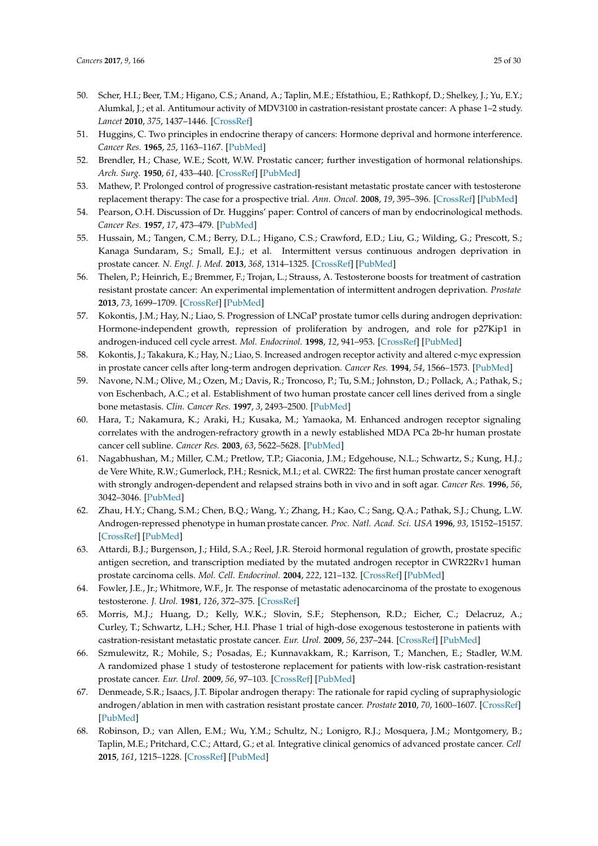- <span id="page-24-25"></span><span id="page-24-22"></span><span id="page-24-21"></span><span id="page-24-0"></span>50. Scher, H.I.; Beer, T.M.; Higano, C.S.; Anand, A.; Taplin, M.E.; Efstathiou, E.; Rathkopf, D.; Shelkey, J.; Yu, E.Y.; Alumkal, J.; et al. Antitumour activity of MDV3100 in castration-resistant prostate cancer: A phase 1–2 study. *Lancet* **2010**, *375*, 1437–1446. [\[CrossRef\]](http://dx.doi.org/10.1016/S0140-6736(10)60172-9)
- <span id="page-24-27"></span><span id="page-24-1"></span>51. Huggins, C. Two principles in endocrine therapy of cancers: Hormone deprival and hormone interference. *Cancer Res.* **1965**, *25*, 1163–1167. [\[PubMed\]](http://www.ncbi.nlm.nih.gov/pubmed/5897831)
- <span id="page-24-28"></span><span id="page-24-2"></span>52. Brendler, H.; Chase, W.E.; Scott, W.W. Prostatic cancer; further investigation of hormonal relationships. *Arch. Surg.* **1950**, *61*, 433–440. [\[CrossRef\]](http://dx.doi.org/10.1001/archsurg.1950.01250020438003) [\[PubMed\]](http://www.ncbi.nlm.nih.gov/pubmed/15433723)
- <span id="page-24-3"></span>53. Mathew, P. Prolonged control of progressive castration-resistant metastatic prostate cancer with testosterone replacement therapy: The case for a prospective trial. *Ann. Oncol.* **2008**, *19*, 395–396. [\[CrossRef\]](http://dx.doi.org/10.1093/annonc/mdm568) [\[PubMed\]](http://www.ncbi.nlm.nih.gov/pubmed/18156142)
- <span id="page-24-4"></span>54. Pearson, O.H. Discussion of Dr. Huggins' paper: Control of cancers of man by endocrinological methods. *Cancer Res.* **1957**, *17*, 473–479. [\[PubMed\]](http://www.ncbi.nlm.nih.gov/pubmed/13437312)
- <span id="page-24-24"></span><span id="page-24-5"></span>55. Hussain, M.; Tangen, C.M.; Berry, D.L.; Higano, C.S.; Crawford, E.D.; Liu, G.; Wilding, G.; Prescott, S.; Kanaga Sundaram, S.; Small, E.J.; et al. Intermittent versus continuous androgen deprivation in prostate cancer. *N. Engl. J. Med.* **2013**, *368*, 1314–1325. [\[CrossRef\]](http://dx.doi.org/10.1056/NEJMoa1212299) [\[PubMed\]](http://www.ncbi.nlm.nih.gov/pubmed/23550669)
- <span id="page-24-6"></span>56. Thelen, P.; Heinrich, E.; Bremmer, F.; Trojan, L.; Strauss, A. Testosterone boosts for treatment of castration resistant prostate cancer: An experimental implementation of intermittent androgen deprivation. *Prostate* **2013**, *73*, 1699–1709. [\[CrossRef\]](http://dx.doi.org/10.1002/pros.22711) [\[PubMed\]](http://www.ncbi.nlm.nih.gov/pubmed/23868789)
- <span id="page-24-23"></span><span id="page-24-7"></span>57. Kokontis, J.M.; Hay, N.; Liao, S. Progression of LNCaP prostate tumor cells during androgen deprivation: Hormone-independent growth, repression of proliferation by androgen, and role for p27Kip1 in androgen-induced cell cycle arrest. *Mol. Endocrinol.* **1998**, *12*, 941–953. [\[CrossRef\]](http://dx.doi.org/10.1210/mend.12.7.0136) [\[PubMed\]](http://www.ncbi.nlm.nih.gov/pubmed/9658399)
- <span id="page-24-17"></span><span id="page-24-8"></span>58. Kokontis, J.; Takakura, K.; Hay, N.; Liao, S. Increased androgen receptor activity and altered c-myc expression in prostate cancer cells after long-term androgen deprivation. *Cancer Res.* **1994**, *54*, 1566–1573. [\[PubMed\]](http://www.ncbi.nlm.nih.gov/pubmed/7511045)
- <span id="page-24-9"></span>59. Navone, N.M.; Olive, M.; Ozen, M.; Davis, R.; Troncoso, P.; Tu, S.M.; Johnston, D.; Pollack, A.; Pathak, S.; von Eschenbach, A.C.; et al. Establishment of two human prostate cancer cell lines derived from a single bone metastasis. *Clin. Cancer Res.* **1997**, *3*, 2493–2500. [\[PubMed\]](http://www.ncbi.nlm.nih.gov/pubmed/9815652)
- <span id="page-24-18"></span><span id="page-24-10"></span>60. Hara, T.; Nakamura, K.; Araki, H.; Kusaka, M.; Yamaoka, M. Enhanced androgen receptor signaling correlates with the androgen-refractory growth in a newly established MDA PCa 2b-hr human prostate cancer cell subline. *Cancer Res.* **2003**, *63*, 5622–5628. [\[PubMed\]](http://www.ncbi.nlm.nih.gov/pubmed/14500404)
- <span id="page-24-26"></span><span id="page-24-11"></span>61. Nagabhushan, M.; Miller, C.M.; Pretlow, T.P.; Giaconia, J.M.; Edgehouse, N.L.; Schwartz, S.; Kung, H.J.; de Vere White, R.W.; Gumerlock, P.H.; Resnick, M.I.; et al. CWR22: The first human prostate cancer xenograft with strongly androgen-dependent and relapsed strains both in vivo and in soft agar. *Cancer Res.* **1996**, *56*, 3042–3046. [\[PubMed\]](http://www.ncbi.nlm.nih.gov/pubmed/8674060)
- <span id="page-24-12"></span>62. Zhau, H.Y.; Chang, S.M.; Chen, B.Q.; Wang, Y.; Zhang, H.; Kao, C.; Sang, Q.A.; Pathak, S.J.; Chung, L.W. Androgen-repressed phenotype in human prostate cancer. *Proc. Natl. Acad. Sci. USA* **1996**, *93*, 15152–15157. [\[CrossRef\]](http://dx.doi.org/10.1073/pnas.93.26.15152) [\[PubMed\]](http://www.ncbi.nlm.nih.gov/pubmed/8986779)
- <span id="page-24-13"></span>63. Attardi, B.J.; Burgenson, J.; Hild, S.A.; Reel, J.R. Steroid hormonal regulation of growth, prostate specific antigen secretion, and transcription mediated by the mutated androgen receptor in CWR22Rv1 human prostate carcinoma cells. *Mol. Cell. Endocrinol.* **2004**, *222*, 121–132. [\[CrossRef\]](http://dx.doi.org/10.1016/j.mce.2004.04.013) [\[PubMed\]](http://www.ncbi.nlm.nih.gov/pubmed/15249132)
- <span id="page-24-14"></span>64. Fowler, J.E., Jr.; Whitmore, W.F., Jr. The response of metastatic adenocarcinoma of the prostate to exogenous testosterone. *J. Urol.* **1981**, *126*, 372–375. [\[CrossRef\]](http://dx.doi.org/10.1016/S0022-5347(17)54531-0)
- <span id="page-24-15"></span>65. Morris, M.J.; Huang, D.; Kelly, W.K.; Slovin, S.F.; Stephenson, R.D.; Eicher, C.; Delacruz, A.; Curley, T.; Schwartz, L.H.; Scher, H.I. Phase 1 trial of high-dose exogenous testosterone in patients with castration-resistant metastatic prostate cancer. *Eur. Urol.* **2009**, *56*, 237–244. [\[CrossRef\]](http://dx.doi.org/10.1016/j.eururo.2009.03.073) [\[PubMed\]](http://www.ncbi.nlm.nih.gov/pubmed/19375217)
- <span id="page-24-16"></span>66. Szmulewitz, R.; Mohile, S.; Posadas, E.; Kunnavakkam, R.; Karrison, T.; Manchen, E.; Stadler, W.M. A randomized phase 1 study of testosterone replacement for patients with low-risk castration-resistant prostate cancer. *Eur. Urol.* **2009**, *56*, 97–103. [\[CrossRef\]](http://dx.doi.org/10.1016/j.eururo.2009.02.022) [\[PubMed\]](http://www.ncbi.nlm.nih.gov/pubmed/19282098)
- <span id="page-24-19"></span>67. Denmeade, S.R.; Isaacs, J.T. Bipolar androgen therapy: The rationale for rapid cycling of supraphysiologic androgen/ablation in men with castration resistant prostate cancer. *Prostate* **2010**, *70*, 1600–1607. [\[CrossRef\]](http://dx.doi.org/10.1002/pros.21196) [\[PubMed\]](http://www.ncbi.nlm.nih.gov/pubmed/20607766)
- <span id="page-24-20"></span>68. Robinson, D.; van Allen, E.M.; Wu, Y.M.; Schultz, N.; Lonigro, R.J.; Mosquera, J.M.; Montgomery, B.; Taplin, M.E.; Pritchard, C.C.; Attard, G.; et al. Integrative clinical genomics of advanced prostate cancer. *Cell* **2015**, *161*, 1215–1228. [\[CrossRef\]](http://dx.doi.org/10.1016/j.cell.2015.05.001) [\[PubMed\]](http://www.ncbi.nlm.nih.gov/pubmed/26000489)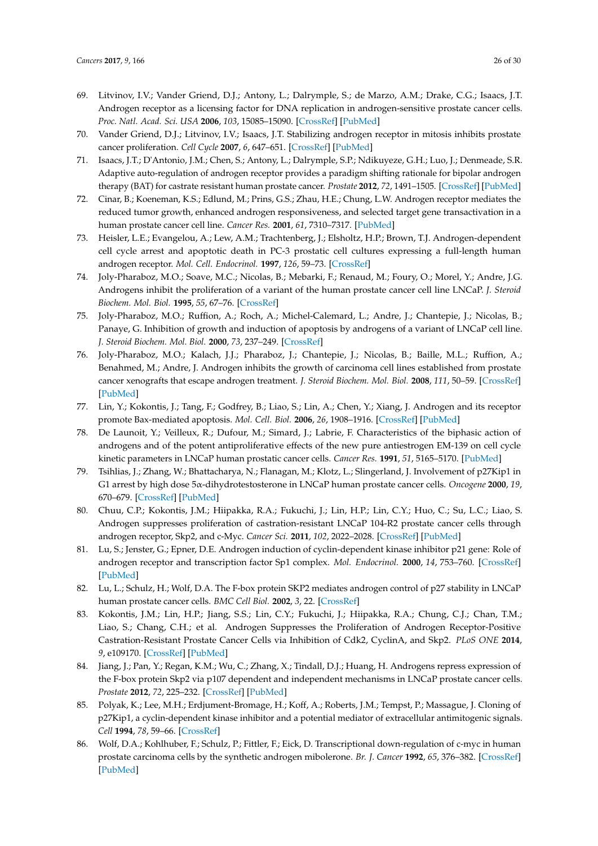- <span id="page-25-20"></span><span id="page-25-19"></span><span id="page-25-0"></span>69. Litvinov, I.V.; Vander Griend, D.J.; Antony, L.; Dalrymple, S.; de Marzo, A.M.; Drake, C.G.; Isaacs, J.T. Androgen receptor as a licensing factor for DNA replication in androgen-sensitive prostate cancer cells. *Proc. Natl. Acad. Sci. USA* **2006**, *103*, 15085–15090. [\[CrossRef\]](http://dx.doi.org/10.1073/pnas.0603057103) [\[PubMed\]](http://www.ncbi.nlm.nih.gov/pubmed/17015840)
- <span id="page-25-2"></span>70. Vander Griend, D.J.; Litvinov, I.V.; Isaacs, J.T. Stabilizing androgen receptor in mitosis inhibits prostate cancer proliferation. *Cell Cycle* **2007**, *6*, 647–651. [\[CrossRef\]](http://dx.doi.org/10.4161/cc.6.6.4028) [\[PubMed\]](http://www.ncbi.nlm.nih.gov/pubmed/17387277)
- <span id="page-25-1"></span>71. Isaacs, J.T.; D'Antonio, J.M.; Chen, S.; Antony, L.; Dalrymple, S.P.; Ndikuyeze, G.H.; Luo, J.; Denmeade, S.R. Adaptive auto-regulation of androgen receptor provides a paradigm shifting rationale for bipolar androgen therapy (BAT) for castrate resistant human prostate cancer. *Prostate* **2012**, *72*, 1491–1505. [\[CrossRef\]](http://dx.doi.org/10.1002/pros.22504) [\[PubMed\]](http://www.ncbi.nlm.nih.gov/pubmed/22396319)
- <span id="page-25-17"></span><span id="page-25-3"></span>72. Cinar, B.; Koeneman, K.S.; Edlund, M.; Prins, G.S.; Zhau, H.E.; Chung, L.W. Androgen receptor mediates the reduced tumor growth, enhanced androgen responsiveness, and selected target gene transactivation in a human prostate cancer cell line. *Cancer Res.* **2001**, *61*, 7310–7317. [\[PubMed\]](http://www.ncbi.nlm.nih.gov/pubmed/11585771)
- <span id="page-25-18"></span><span id="page-25-16"></span>73. Heisler, L.E.; Evangelou, A.; Lew, A.M.; Trachtenberg, J.; Elsholtz, H.P.; Brown, T.J. Androgen-dependent cell cycle arrest and apoptotic death in PC-3 prostatic cell cultures expressing a full-length human androgen receptor. *Mol. Cell. Endocrinol.* **1997**, *126*, 59–73. [\[CrossRef\]](http://dx.doi.org/10.1016/S0303-7207(96)03970-6)
- 74. Joly-Pharaboz, M.O.; Soave, M.C.; Nicolas, B.; Mebarki, F.; Renaud, M.; Foury, O.; Morel, Y.; Andre, J.G. Androgens inhibit the proliferation of a variant of the human prostate cancer cell line LNCaP. *J. Steroid Biochem. Mol. Biol.* **1995**, *55*, 67–76. [\[CrossRef\]](http://dx.doi.org/10.1016/0960-0760(95)00155-S)
- <span id="page-25-15"></span>75. Joly-Pharaboz, M.O.; Ruffion, A.; Roch, A.; Michel-Calemard, L.; Andre, J.; Chantepie, J.; Nicolas, B.; Panaye, G. Inhibition of growth and induction of apoptosis by androgens of a variant of LNCaP cell line. *J. Steroid Biochem. Mol. Biol.* **2000**, *73*, 237–249. [\[CrossRef\]](http://dx.doi.org/10.1016/S0960-0760(00)00076-5)
- <span id="page-25-8"></span>76. Joly-Pharaboz, M.O.; Kalach, J.J.; Pharaboz, J.; Chantepie, J.; Nicolas, B.; Baille, M.L.; Ruffion, A.; Benahmed, M.; Andre, J. Androgen inhibits the growth of carcinoma cell lines established from prostate cancer xenografts that escape androgen treatment. *J. Steroid Biochem. Mol. Biol.* **2008**, *111*, 50–59. [\[CrossRef\]](http://dx.doi.org/10.1016/j.jsbmb.2008.02.011) [\[PubMed\]](http://www.ncbi.nlm.nih.gov/pubmed/18550362)
- <span id="page-25-4"></span>77. Lin, Y.; Kokontis, J.; Tang, F.; Godfrey, B.; Liao, S.; Lin, A.; Chen, Y.; Xiang, J. Androgen and its receptor promote Bax-mediated apoptosis. *Mol. Cell. Biol.* **2006**, *26*, 1908–1916. [\[CrossRef\]](http://dx.doi.org/10.1128/MCB.26.5.1908-1916.2006) [\[PubMed\]](http://www.ncbi.nlm.nih.gov/pubmed/16479009)
- <span id="page-25-5"></span>78. De Launoit, Y.; Veilleux, R.; Dufour, M.; Simard, J.; Labrie, F. Characteristics of the biphasic action of androgens and of the potent antiproliferative effects of the new pure antiestrogen EM-139 on cell cycle kinetic parameters in LNCaP human prostatic cancer cells. *Cancer Res.* **1991**, *51*, 5165–5170. [\[PubMed\]](http://www.ncbi.nlm.nih.gov/pubmed/1913642)
- <span id="page-25-6"></span>79. Tsihlias, J.; Zhang, W.; Bhattacharya, N.; Flanagan, M.; Klotz, L.; Slingerland, J. Involvement of p27Kip1 in G1 arrest by high dose 5α-dihydrotestosterone in LNCaP human prostate cancer cells. *Oncogene* **2000**, *19*, 670–679. [\[CrossRef\]](http://dx.doi.org/10.1038/sj.onc.1203369) [\[PubMed\]](http://www.ncbi.nlm.nih.gov/pubmed/10698512)
- <span id="page-25-7"></span>80. Chuu, C.P.; Kokontis, J.M.; Hiipakka, R.A.; Fukuchi, J.; Lin, H.P.; Lin, C.Y.; Huo, C.; Su, L.C.; Liao, S. Androgen suppresses proliferation of castration-resistant LNCaP 104-R2 prostate cancer cells through androgen receptor, Skp2, and c-Myc. *Cancer Sci.* **2011**, *102*, 2022–2028. [\[CrossRef\]](http://dx.doi.org/10.1111/j.1349-7006.2011.02043.x) [\[PubMed\]](http://www.ncbi.nlm.nih.gov/pubmed/21781227)
- <span id="page-25-9"></span>81. Lu, S.; Jenster, G.; Epner, D.E. Androgen induction of cyclin-dependent kinase inhibitor p21 gene: Role of androgen receptor and transcription factor Sp1 complex. *Mol. Endocrinol.* **2000**, *14*, 753–760. [\[CrossRef\]](http://dx.doi.org/10.1210/mend.14.5.0461) [\[PubMed\]](http://www.ncbi.nlm.nih.gov/pubmed/10809237)
- <span id="page-25-10"></span>82. Lu, L.; Schulz, H.; Wolf, D.A. The F-box protein SKP2 mediates androgen control of p27 stability in LNCaP human prostate cancer cells. *BMC Cell Biol.* **2002**, *3*, 22. [\[CrossRef\]](http://dx.doi.org/10.1186/1471-2121-3-22)
- <span id="page-25-11"></span>83. Kokontis, J.M.; Lin, H.P.; Jiang, S.S.; Lin, C.Y.; Fukuchi, J.; Hiipakka, R.A.; Chung, C.J.; Chan, T.M.; Liao, S.; Chang, C.H.; et al. Androgen Suppresses the Proliferation of Androgen Receptor-Positive Castration-Resistant Prostate Cancer Cells via Inhibition of Cdk2, CyclinA, and Skp2. *PLoS ONE* **2014**, *9*, e109170. [\[CrossRef\]](http://dx.doi.org/10.1371/journal.pone.0109170) [\[PubMed\]](http://www.ncbi.nlm.nih.gov/pubmed/25271736)
- <span id="page-25-12"></span>84. Jiang, J.; Pan, Y.; Regan, K.M.; Wu, C.; Zhang, X.; Tindall, D.J.; Huang, H. Androgens repress expression of the F-box protein Skp2 via p107 dependent and independent mechanisms in LNCaP prostate cancer cells. *Prostate* **2012**, *72*, 225–232. [\[CrossRef\]](http://dx.doi.org/10.1002/pros.21430) [\[PubMed\]](http://www.ncbi.nlm.nih.gov/pubmed/21630295)
- <span id="page-25-13"></span>85. Polyak, K.; Lee, M.H.; Erdjument-Bromage, H.; Koff, A.; Roberts, J.M.; Tempst, P.; Massague, J. Cloning of p27Kip1, a cyclin-dependent kinase inhibitor and a potential mediator of extracellular antimitogenic signals. *Cell* **1994**, *78*, 59–66. [\[CrossRef\]](http://dx.doi.org/10.1016/0092-8674(94)90572-X)
- <span id="page-25-14"></span>86. Wolf, D.A.; Kohlhuber, F.; Schulz, P.; Fittler, F.; Eick, D. Transcriptional down-regulation of c-myc in human prostate carcinoma cells by the synthetic androgen mibolerone. *Br. J. Cancer* **1992**, *65*, 376–382. [\[CrossRef\]](http://dx.doi.org/10.1038/bjc.1992.76) [\[PubMed\]](http://www.ncbi.nlm.nih.gov/pubmed/1373070)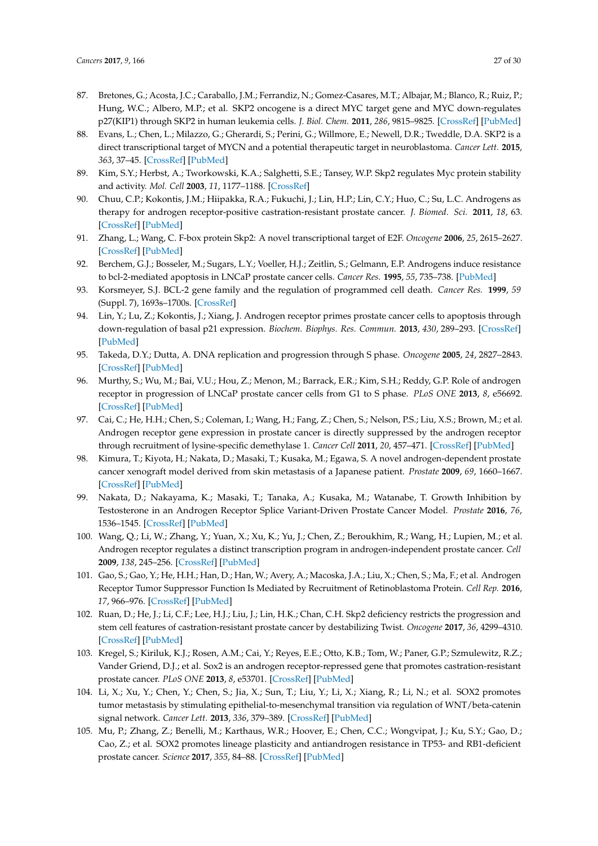- <span id="page-26-0"></span>87. Bretones, G.; Acosta, J.C.; Caraballo, J.M.; Ferrandiz, N.; Gomez-Casares, M.T.; Albajar, M.; Blanco, R.; Ruiz, P.; Hung, W.C.; Albero, M.P.; et al. SKP2 oncogene is a direct MYC target gene and MYC down-regulates p27(KIP1) through SKP2 in human leukemia cells. *J. Biol. Chem.* **2011**, *286*, 9815–9825. [\[CrossRef\]](http://dx.doi.org/10.1074/jbc.M110.165977) [\[PubMed\]](http://www.ncbi.nlm.nih.gov/pubmed/21245140)
- <span id="page-26-1"></span>88. Evans, L.; Chen, L.; Milazzo, G.; Gherardi, S.; Perini, G.; Willmore, E.; Newell, D.R.; Tweddle, D.A. SKP2 is a direct transcriptional target of MYCN and a potential therapeutic target in neuroblastoma. *Cancer Lett.* **2015**, *363*, 37–45. [\[CrossRef\]](http://dx.doi.org/10.1016/j.canlet.2015.03.044) [\[PubMed\]](http://www.ncbi.nlm.nih.gov/pubmed/25843293)
- <span id="page-26-2"></span>89. Kim, S.Y.; Herbst, A.; Tworkowski, K.A.; Salghetti, S.E.; Tansey, W.P. Skp2 regulates Myc protein stability and activity. *Mol. Cell* **2003**, *11*, 1177–1188. [\[CrossRef\]](http://dx.doi.org/10.1016/S1097-2765(03)00173-4)
- <span id="page-26-3"></span>90. Chuu, C.P.; Kokontis, J.M.; Hiipakka, R.A.; Fukuchi, J.; Lin, H.P.; Lin, C.Y.; Huo, C.; Su, L.C. Androgens as therapy for androgen receptor-positive castration-resistant prostate cancer. *J. Biomed. Sci.* **2011**, *18*, 63. [\[CrossRef\]](http://dx.doi.org/10.1186/1423-0127-18-63) [\[PubMed\]](http://www.ncbi.nlm.nih.gov/pubmed/21859492)
- <span id="page-26-4"></span>91. Zhang, L.; Wang, C. F-box protein Skp2: A novel transcriptional target of E2F. *Oncogene* **2006**, *25*, 2615–2627. [\[CrossRef\]](http://dx.doi.org/10.1038/sj.onc.1209286) [\[PubMed\]](http://www.ncbi.nlm.nih.gov/pubmed/16331253)
- <span id="page-26-5"></span>92. Berchem, G.J.; Bosseler, M.; Sugars, L.Y.; Voeller, H.J.; Zeitlin, S.; Gelmann, E.P. Androgens induce resistance to bcl-2-mediated apoptosis in LNCaP prostate cancer cells. *Cancer Res.* **1995**, *55*, 735–738. [\[PubMed\]](http://www.ncbi.nlm.nih.gov/pubmed/7850782)
- <span id="page-26-6"></span>93. Korsmeyer, S.J. BCL-2 gene family and the regulation of programmed cell death. *Cancer Res.* **1999**, *59* (Suppl. 7), 1693s–1700s. [\[CrossRef\]](http://dx.doi.org/10.1016/0165-4608(96)85244-7)
- <span id="page-26-7"></span>94. Lin, Y.; Lu, Z.; Kokontis, J.; Xiang, J. Androgen receptor primes prostate cancer cells to apoptosis through down-regulation of basal p21 expression. *Biochem. Biophys. Res. Commun.* **2013**, *430*, 289–293. [\[CrossRef\]](http://dx.doi.org/10.1016/j.bbrc.2012.10.135) [\[PubMed\]](http://www.ncbi.nlm.nih.gov/pubmed/23159636)
- <span id="page-26-8"></span>95. Takeda, D.Y.; Dutta, A. DNA replication and progression through S phase. *Oncogene* **2005**, *24*, 2827–2843. [\[CrossRef\]](http://dx.doi.org/10.1038/sj.onc.1208616) [\[PubMed\]](http://www.ncbi.nlm.nih.gov/pubmed/15838518)
- <span id="page-26-9"></span>96. Murthy, S.; Wu, M.; Bai, V.U.; Hou, Z.; Menon, M.; Barrack, E.R.; Kim, S.H.; Reddy, G.P. Role of androgen receptor in progression of LNCaP prostate cancer cells from G1 to S phase. *PLoS ONE* **2013**, *8*, e56692. [\[CrossRef\]](http://dx.doi.org/10.1371/journal.pone.0056692) [\[PubMed\]](http://www.ncbi.nlm.nih.gov/pubmed/23437213)
- <span id="page-26-10"></span>97. Cai, C.; He, H.H.; Chen, S.; Coleman, I.; Wang, H.; Fang, Z.; Chen, S.; Nelson, P.S.; Liu, X.S.; Brown, M.; et al. Androgen receptor gene expression in prostate cancer is directly suppressed by the androgen receptor through recruitment of lysine-specific demethylase 1. *Cancer Cell* **2011**, *20*, 457–471. [\[CrossRef\]](http://dx.doi.org/10.1016/j.ccr.2011.09.001) [\[PubMed\]](http://www.ncbi.nlm.nih.gov/pubmed/22014572)
- <span id="page-26-11"></span>98. Kimura, T.; Kiyota, H.; Nakata, D.; Masaki, T.; Kusaka, M.; Egawa, S. A novel androgen-dependent prostate cancer xenograft model derived from skin metastasis of a Japanese patient. *Prostate* **2009**, *69*, 1660–1667. [\[CrossRef\]](http://dx.doi.org/10.1002/pros.21016) [\[PubMed\]](http://www.ncbi.nlm.nih.gov/pubmed/19644954)
- <span id="page-26-12"></span>99. Nakata, D.; Nakayama, K.; Masaki, T.; Tanaka, A.; Kusaka, M.; Watanabe, T. Growth Inhibition by Testosterone in an Androgen Receptor Splice Variant-Driven Prostate Cancer Model. *Prostate* **2016**, *76*, 1536–1545. [\[CrossRef\]](http://dx.doi.org/10.1002/pros.23238) [\[PubMed\]](http://www.ncbi.nlm.nih.gov/pubmed/27473672)
- <span id="page-26-13"></span>100. Wang, Q.; Li, W.; Zhang, Y.; Yuan, X.; Xu, K.; Yu, J.; Chen, Z.; Beroukhim, R.; Wang, H.; Lupien, M.; et al. Androgen receptor regulates a distinct transcription program in androgen-independent prostate cancer. *Cell* **2009**, *138*, 245–256. [\[CrossRef\]](http://dx.doi.org/10.1016/j.cell.2009.04.056) [\[PubMed\]](http://www.ncbi.nlm.nih.gov/pubmed/19632176)
- <span id="page-26-14"></span>101. Gao, S.; Gao, Y.; He, H.H.; Han, D.; Han, W.; Avery, A.; Macoska, J.A.; Liu, X.; Chen, S.; Ma, F.; et al. Androgen Receptor Tumor Suppressor Function Is Mediated by Recruitment of Retinoblastoma Protein. *Cell Rep.* **2016**, *17*, 966–976. [\[CrossRef\]](http://dx.doi.org/10.1016/j.celrep.2016.09.064) [\[PubMed\]](http://www.ncbi.nlm.nih.gov/pubmed/27760327)
- <span id="page-26-15"></span>102. Ruan, D.; He, J.; Li, C.F.; Lee, H.J.; Liu, J.; Lin, H.K.; Chan, C.H. Skp2 deficiency restricts the progression and stem cell features of castration-resistant prostate cancer by destabilizing Twist. *Oncogene* **2017**, *36*, 4299–4310. [\[CrossRef\]](http://dx.doi.org/10.1038/onc.2017.64) [\[PubMed\]](http://www.ncbi.nlm.nih.gov/pubmed/28346424)
- <span id="page-26-16"></span>103. Kregel, S.; Kiriluk, K.J.; Rosen, A.M.; Cai, Y.; Reyes, E.E.; Otto, K.B.; Tom, W.; Paner, G.P.; Szmulewitz, R.Z.; Vander Griend, D.J.; et al. Sox2 is an androgen receptor-repressed gene that promotes castration-resistant prostate cancer. *PLoS ONE* **2013**, *8*, e53701. [\[CrossRef\]](http://dx.doi.org/10.1371/journal.pone.0053701) [\[PubMed\]](http://www.ncbi.nlm.nih.gov/pubmed/23326489)
- 104. Li, X.; Xu, Y.; Chen, Y.; Chen, S.; Jia, X.; Sun, T.; Liu, Y.; Li, X.; Xiang, R.; Li, N.; et al. SOX2 promotes tumor metastasis by stimulating epithelial-to-mesenchymal transition via regulation of WNT/beta-catenin signal network. *Cancer Lett.* **2013**, *336*, 379–389. [\[CrossRef\]](http://dx.doi.org/10.1016/j.canlet.2013.03.027) [\[PubMed\]](http://www.ncbi.nlm.nih.gov/pubmed/23545177)
- <span id="page-26-17"></span>105. Mu, P.; Zhang, Z.; Benelli, M.; Karthaus, W.R.; Hoover, E.; Chen, C.C.; Wongvipat, J.; Ku, S.Y.; Gao, D.; Cao, Z.; et al. SOX2 promotes lineage plasticity and antiandrogen resistance in TP53- and RB1-deficient prostate cancer. *Science* **2017**, *355*, 84–88. [\[CrossRef\]](http://dx.doi.org/10.1126/science.aah4307) [\[PubMed\]](http://www.ncbi.nlm.nih.gov/pubmed/28059768)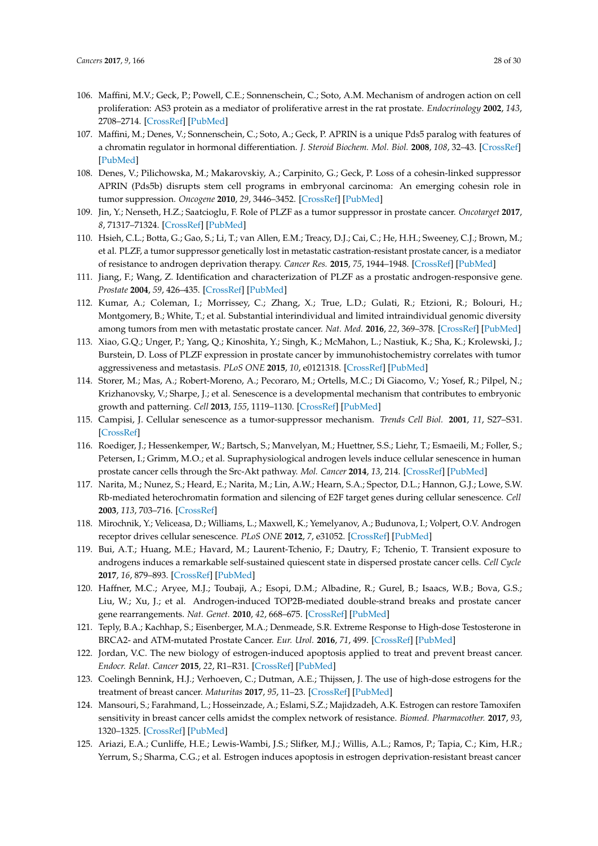- <span id="page-27-0"></span>106. Maffini, M.V.; Geck, P.; Powell, C.E.; Sonnenschein, C.; Soto, A.M. Mechanism of androgen action on cell proliferation: AS3 protein as a mediator of proliferative arrest in the rat prostate. *Endocrinology* **2002**, *143*, 2708–2714. [\[CrossRef\]](http://dx.doi.org/10.1210/endo.143.7.8899) [\[PubMed\]](http://www.ncbi.nlm.nih.gov/pubmed/12072405)
- <span id="page-27-1"></span>107. Maffini, M.; Denes, V.; Sonnenschein, C.; Soto, A.; Geck, P. APRIN is a unique Pds5 paralog with features of a chromatin regulator in hormonal differentiation. *J. Steroid Biochem. Mol. Biol.* **2008**, *108*, 32–43. [\[CrossRef\]](http://dx.doi.org/10.1016/j.jsbmb.2007.05.034) [\[PubMed\]](http://www.ncbi.nlm.nih.gov/pubmed/17997301)
- <span id="page-27-2"></span>108. Denes, V.; Pilichowska, M.; Makarovskiy, A.; Carpinito, G.; Geck, P. Loss of a cohesin-linked suppressor APRIN (Pds5b) disrupts stem cell programs in embryonal carcinoma: An emerging cohesin role in tumor suppression. *Oncogene* **2010**, *29*, 3446–3452. [\[CrossRef\]](http://dx.doi.org/10.1038/onc.2010.100) [\[PubMed\]](http://www.ncbi.nlm.nih.gov/pubmed/20383194)
- <span id="page-27-3"></span>109. Jin, Y.; Nenseth, H.Z.; Saatcioglu, F. Role of PLZF as a tumor suppressor in prostate cancer. *Oncotarget* **2017**, *8*, 71317–71324. [\[CrossRef\]](http://dx.doi.org/10.18632/oncotarget.19813) [\[PubMed\]](http://www.ncbi.nlm.nih.gov/pubmed/29050363)
- <span id="page-27-4"></span>110. Hsieh, C.L.; Botta, G.; Gao, S.; Li, T.; van Allen, E.M.; Treacy, D.J.; Cai, C.; He, H.H.; Sweeney, C.J.; Brown, M.; et al. PLZF, a tumor suppressor genetically lost in metastatic castration-resistant prostate cancer, is a mediator of resistance to androgen deprivation therapy. *Cancer Res.* **2015**, *75*, 1944–1948. [\[CrossRef\]](http://dx.doi.org/10.1158/0008-5472.CAN-14-3602) [\[PubMed\]](http://www.ncbi.nlm.nih.gov/pubmed/25808865)
- <span id="page-27-5"></span>111. Jiang, F.; Wang, Z. Identification and characterization of PLZF as a prostatic androgen-responsive gene. *Prostate* **2004**, *59*, 426–435. [\[CrossRef\]](http://dx.doi.org/10.1002/pros.20000) [\[PubMed\]](http://www.ncbi.nlm.nih.gov/pubmed/15065091)
- <span id="page-27-6"></span>112. Kumar, A.; Coleman, I.; Morrissey, C.; Zhang, X.; True, L.D.; Gulati, R.; Etzioni, R.; Bolouri, H.; Montgomery, B.; White, T.; et al. Substantial interindividual and limited intraindividual genomic diversity among tumors from men with metastatic prostate cancer. *Nat. Med.* **2016**, *22*, 369–378. [\[CrossRef\]](http://dx.doi.org/10.1038/nm.4053) [\[PubMed\]](http://www.ncbi.nlm.nih.gov/pubmed/26928463)
- <span id="page-27-7"></span>113. Xiao, G.Q.; Unger, P.; Yang, Q.; Kinoshita, Y.; Singh, K.; McMahon, L.; Nastiuk, K.; Sha, K.; Krolewski, J.; Burstein, D. Loss of PLZF expression in prostate cancer by immunohistochemistry correlates with tumor aggressiveness and metastasis. *PLoS ONE* **2015**, *10*, e0121318. [\[CrossRef\]](http://dx.doi.org/10.1371/journal.pone.0121318) [\[PubMed\]](http://www.ncbi.nlm.nih.gov/pubmed/25807461)
- <span id="page-27-8"></span>114. Storer, M.; Mas, A.; Robert-Moreno, A.; Pecoraro, M.; Ortells, M.C.; Di Giacomo, V.; Yosef, R.; Pilpel, N.; Krizhanovsky, V.; Sharpe, J.; et al. Senescence is a developmental mechanism that contributes to embryonic growth and patterning. *Cell* **2013**, *155*, 1119–1130. [\[CrossRef\]](http://dx.doi.org/10.1016/j.cell.2013.10.041) [\[PubMed\]](http://www.ncbi.nlm.nih.gov/pubmed/24238961)
- <span id="page-27-9"></span>115. Campisi, J. Cellular senescence as a tumor-suppressor mechanism. *Trends Cell Biol.* **2001**, *11*, S27–S31. [\[CrossRef\]](http://dx.doi.org/10.1016/S0962-8924(01)82148-6)
- <span id="page-27-10"></span>116. Roediger, J.; Hessenkemper, W.; Bartsch, S.; Manvelyan, M.; Huettner, S.S.; Liehr, T.; Esmaeili, M.; Foller, S.; Petersen, I.; Grimm, M.O.; et al. Supraphysiological androgen levels induce cellular senescence in human prostate cancer cells through the Src-Akt pathway. *Mol. Cancer* **2014**, *13*, 214. [\[CrossRef\]](http://dx.doi.org/10.1186/1476-4598-13-214) [\[PubMed\]](http://www.ncbi.nlm.nih.gov/pubmed/25216853)
- <span id="page-27-11"></span>117. Narita, M.; Nunez, S.; Heard, E.; Narita, M.; Lin, A.W.; Hearn, S.A.; Spector, D.L.; Hannon, G.J.; Lowe, S.W. Rb-mediated heterochromatin formation and silencing of E2F target genes during cellular senescence. *Cell* **2003**, *113*, 703–716. [\[CrossRef\]](http://dx.doi.org/10.1016/S0092-8674(03)00401-X)
- <span id="page-27-12"></span>118. Mirochnik, Y.; Veliceasa, D.; Williams, L.; Maxwell, K.; Yemelyanov, A.; Budunova, I.; Volpert, O.V. Androgen receptor drives cellular senescence. *PLoS ONE* **2012**, *7*, e31052. [\[CrossRef\]](http://dx.doi.org/10.1371/journal.pone.0031052) [\[PubMed\]](http://www.ncbi.nlm.nih.gov/pubmed/22403609)
- <span id="page-27-13"></span>119. Bui, A.T.; Huang, M.E.; Havard, M.; Laurent-Tchenio, F.; Dautry, F.; Tchenio, T. Transient exposure to androgens induces a remarkable self-sustained quiescent state in dispersed prostate cancer cells. *Cell Cycle* **2017**, *16*, 879–893. [\[CrossRef\]](http://dx.doi.org/10.1080/15384101.2017.1310345) [\[PubMed\]](http://www.ncbi.nlm.nih.gov/pubmed/28426320)
- <span id="page-27-14"></span>120. Haffner, M.C.; Aryee, M.J.; Toubaji, A.; Esopi, D.M.; Albadine, R.; Gurel, B.; Isaacs, W.B.; Bova, G.S.; Liu, W.; Xu, J.; et al. Androgen-induced TOP2B-mediated double-strand breaks and prostate cancer gene rearrangements. *Nat. Genet.* **2010**, *42*, 668–675. [\[CrossRef\]](http://dx.doi.org/10.1038/ng.613) [\[PubMed\]](http://www.ncbi.nlm.nih.gov/pubmed/20601956)
- <span id="page-27-15"></span>121. Teply, B.A.; Kachhap, S.; Eisenberger, M.A.; Denmeade, S.R. Extreme Response to High-dose Testosterone in BRCA2- and ATM-mutated Prostate Cancer. *Eur. Urol.* **2016**, *71*, 499. [\[CrossRef\]](http://dx.doi.org/10.1016/j.eururo.2016.09.020) [\[PubMed\]](http://www.ncbi.nlm.nih.gov/pubmed/27692705)
- <span id="page-27-16"></span>122. Jordan, V.C. The new biology of estrogen-induced apoptosis applied to treat and prevent breast cancer. *Endocr. Relat. Cancer* **2015**, *22*, R1–R31. [\[CrossRef\]](http://dx.doi.org/10.1530/ERC-14-0448) [\[PubMed\]](http://www.ncbi.nlm.nih.gov/pubmed/25339261)
- <span id="page-27-17"></span>123. Coelingh Bennink, H.J.; Verhoeven, C.; Dutman, A.E.; Thijssen, J. The use of high-dose estrogens for the treatment of breast cancer. *Maturitas* **2017**, *95*, 11–23. [\[CrossRef\]](http://dx.doi.org/10.1016/j.maturitas.2016.10.010) [\[PubMed\]](http://www.ncbi.nlm.nih.gov/pubmed/27889048)
- <span id="page-27-18"></span>124. Mansouri, S.; Farahmand, L.; Hosseinzade, A.; Eslami, S.Z.; Majidzadeh, A.K. Estrogen can restore Tamoxifen sensitivity in breast cancer cells amidst the complex network of resistance. *Biomed. Pharmacother.* **2017**, *93*, 1320–1325. [\[CrossRef\]](http://dx.doi.org/10.1016/j.biopha.2017.07.057) [\[PubMed\]](http://www.ncbi.nlm.nih.gov/pubmed/28747013)
- <span id="page-27-19"></span>125. Ariazi, E.A.; Cunliffe, H.E.; Lewis-Wambi, J.S.; Slifker, M.J.; Willis, A.L.; Ramos, P.; Tapia, C.; Kim, H.R.; Yerrum, S.; Sharma, C.G.; et al. Estrogen induces apoptosis in estrogen deprivation-resistant breast cancer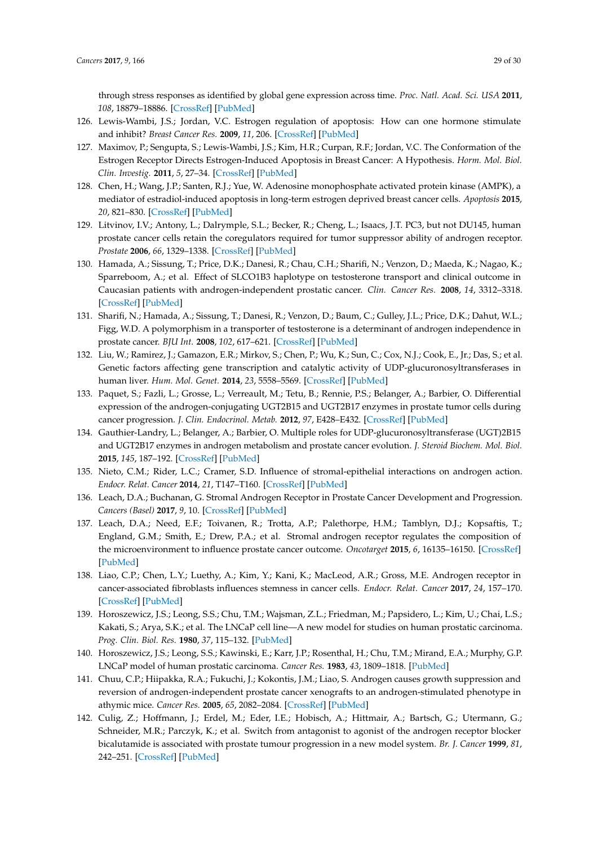<span id="page-28-16"></span>through stress responses as identified by global gene expression across time. *Proc. Natl. Acad. Sci. USA* **2011**, *108*, 18879–18886. [\[CrossRef\]](http://dx.doi.org/10.1073/pnas.1115188108) [\[PubMed\]](http://www.ncbi.nlm.nih.gov/pubmed/22011582)

- <span id="page-28-0"></span>126. Lewis-Wambi, J.S.; Jordan, V.C. Estrogen regulation of apoptosis: How can one hormone stimulate and inhibit? *Breast Cancer Res.* **2009**, *11*, 206. [\[CrossRef\]](http://dx.doi.org/10.1186/bcr2255) [\[PubMed\]](http://www.ncbi.nlm.nih.gov/pubmed/19519952)
- <span id="page-28-1"></span>127. Maximov, P.; Sengupta, S.; Lewis-Wambi, J.S.; Kim, H.R.; Curpan, R.F.; Jordan, V.C. The Conformation of the Estrogen Receptor Directs Estrogen-Induced Apoptosis in Breast Cancer: A Hypothesis. *Horm. Mol. Biol. Clin. Investig.* **2011**, *5*, 27–34. [\[CrossRef\]](http://dx.doi.org/10.1515/HMBCI.2010.047) [\[PubMed\]](http://www.ncbi.nlm.nih.gov/pubmed/21660224)
- <span id="page-28-2"></span>128. Chen, H.; Wang, J.P.; Santen, R.J.; Yue, W. Adenosine monophosphate activated protein kinase (AMPK), a mediator of estradiol-induced apoptosis in long-term estrogen deprived breast cancer cells. *Apoptosis* **2015**, *20*, 821–830. [\[CrossRef\]](http://dx.doi.org/10.1007/s10495-015-1111-7) [\[PubMed\]](http://www.ncbi.nlm.nih.gov/pubmed/25721362)
- <span id="page-28-3"></span>129. Litvinov, I.V.; Antony, L.; Dalrymple, S.L.; Becker, R.; Cheng, L.; Isaacs, J.T. PC3, but not DU145, human prostate cancer cells retain the coregulators required for tumor suppressor ability of androgen receptor. *Prostate* **2006**, *66*, 1329–1338. [\[CrossRef\]](http://dx.doi.org/10.1002/pros.20483) [\[PubMed\]](http://www.ncbi.nlm.nih.gov/pubmed/16835890)
- <span id="page-28-4"></span>130. Hamada, A.; Sissung, T.; Price, D.K.; Danesi, R.; Chau, C.H.; Sharifi, N.; Venzon, D.; Maeda, K.; Nagao, K.; Sparreboom, A.; et al. Effect of SLCO1B3 haplotype on testosterone transport and clinical outcome in Caucasian patients with androgen-independent prostatic cancer. *Clin. Cancer Res.* **2008**, *14*, 3312–3318. [\[CrossRef\]](http://dx.doi.org/10.1158/1078-0432.CCR-07-4118) [\[PubMed\]](http://www.ncbi.nlm.nih.gov/pubmed/18519758)
- <span id="page-28-5"></span>131. Sharifi, N.; Hamada, A.; Sissung, T.; Danesi, R.; Venzon, D.; Baum, C.; Gulley, J.L.; Price, D.K.; Dahut, W.L.; Figg, W.D. A polymorphism in a transporter of testosterone is a determinant of androgen independence in prostate cancer. *BJU Int.* **2008**, *102*, 617–621. [\[CrossRef\]](http://dx.doi.org/10.1111/j.1464-410X.2008.07629.x) [\[PubMed\]](http://www.ncbi.nlm.nih.gov/pubmed/18537956)
- <span id="page-28-13"></span><span id="page-28-6"></span>132. Liu, W.; Ramirez, J.; Gamazon, E.R.; Mirkov, S.; Chen, P.; Wu, K.; Sun, C.; Cox, N.J.; Cook, E., Jr.; Das, S.; et al. Genetic factors affecting gene transcription and catalytic activity of UDP-glucuronosyltransferases in human liver. *Hum. Mol. Genet.* **2014**, *23*, 5558–5569. [\[CrossRef\]](http://dx.doi.org/10.1093/hmg/ddu268) [\[PubMed\]](http://www.ncbi.nlm.nih.gov/pubmed/24879639)
- <span id="page-28-14"></span><span id="page-28-7"></span>133. Paquet, S.; Fazli, L.; Grosse, L.; Verreault, M.; Tetu, B.; Rennie, P.S.; Belanger, A.; Barbier, O. Differential expression of the androgen-conjugating UGT2B15 and UGT2B17 enzymes in prostate tumor cells during cancer progression. *J. Clin. Endocrinol. Metab.* **2012**, *97*, E428–E432. [\[CrossRef\]](http://dx.doi.org/10.1210/jc.2011-2064) [\[PubMed\]](http://www.ncbi.nlm.nih.gov/pubmed/22170718)
- <span id="page-28-15"></span><span id="page-28-8"></span>134. Gauthier-Landry, L.; Belanger, A.; Barbier, O. Multiple roles for UDP-glucuronosyltransferase (UGT)2B15 and UGT2B17 enzymes in androgen metabolism and prostate cancer evolution. *J. Steroid Biochem. Mol. Biol.* **2015**, *145*, 187–192. [\[CrossRef\]](http://dx.doi.org/10.1016/j.jsbmb.2014.05.009) [\[PubMed\]](http://www.ncbi.nlm.nih.gov/pubmed/24861263)
- <span id="page-28-9"></span>135. Nieto, C.M.; Rider, L.C.; Cramer, S.D. Influence of stromal-epithelial interactions on androgen action. *Endocr. Relat. Cancer* **2014**, *21*, T147–T160. [\[CrossRef\]](http://dx.doi.org/10.1530/ERC-14-0138) [\[PubMed\]](http://www.ncbi.nlm.nih.gov/pubmed/24872510)
- <span id="page-28-10"></span>136. Leach, D.A.; Buchanan, G. Stromal Androgen Receptor in Prostate Cancer Development and Progression. *Cancers (Basel)* **2017**, *9*, 10. [\[CrossRef\]](http://dx.doi.org/10.3390/cancers9010010) [\[PubMed\]](http://www.ncbi.nlm.nih.gov/pubmed/28117763)
- <span id="page-28-11"></span>137. Leach, D.A.; Need, E.F.; Toivanen, R.; Trotta, A.P.; Palethorpe, H.M.; Tamblyn, D.J.; Kopsaftis, T.; England, G.M.; Smith, E.; Drew, P.A.; et al. Stromal androgen receptor regulates the composition of the microenvironment to influence prostate cancer outcome. *Oncotarget* **2015**, *6*, 16135–16150. [\[CrossRef\]](http://dx.doi.org/10.18632/oncotarget.3873) [\[PubMed\]](http://www.ncbi.nlm.nih.gov/pubmed/25965833)
- <span id="page-28-12"></span>138. Liao, C.P.; Chen, L.Y.; Luethy, A.; Kim, Y.; Kani, K.; MacLeod, A.R.; Gross, M.E. Androgen receptor in cancer-associated fibroblasts influences stemness in cancer cells. *Endocr. Relat. Cancer* **2017**, *24*, 157–170. [\[CrossRef\]](http://dx.doi.org/10.1530/ERC-16-0138) [\[PubMed\]](http://www.ncbi.nlm.nih.gov/pubmed/28264911)
- <span id="page-28-17"></span>139. Horoszewicz, J.S.; Leong, S.S.; Chu, T.M.; Wajsman, Z.L.; Friedman, M.; Papsidero, L.; Kim, U.; Chai, L.S.; Kakati, S.; Arya, S.K.; et al. The LNCaP cell line—A new model for studies on human prostatic carcinoma. *Prog. Clin. Biol. Res.* **1980**, *37*, 115–132. [\[PubMed\]](http://www.ncbi.nlm.nih.gov/pubmed/7384082)
- <span id="page-28-18"></span>140. Horoszewicz, J.S.; Leong, S.S.; Kawinski, E.; Karr, J.P.; Rosenthal, H.; Chu, T.M.; Mirand, E.A.; Murphy, G.P. LNCaP model of human prostatic carcinoma. *Cancer Res.* **1983**, *43*, 1809–1818. [\[PubMed\]](http://www.ncbi.nlm.nih.gov/pubmed/6831420)
- 141. Chuu, C.P.; Hiipakka, R.A.; Fukuchi, J.; Kokontis, J.M.; Liao, S. Androgen causes growth suppression and reversion of androgen-independent prostate cancer xenografts to an androgen-stimulated phenotype in athymic mice. *Cancer Res.* **2005**, *65*, 2082–2084. [\[CrossRef\]](http://dx.doi.org/10.1158/0008-5472.CAN-04-3992) [\[PubMed\]](http://www.ncbi.nlm.nih.gov/pubmed/15781616)
- <span id="page-28-19"></span>142. Culig, Z.; Hoffmann, J.; Erdel, M.; Eder, I.E.; Hobisch, A.; Hittmair, A.; Bartsch, G.; Utermann, G.; Schneider, M.R.; Parczyk, K.; et al. Switch from antagonist to agonist of the androgen receptor blocker bicalutamide is associated with prostate tumour progression in a new model system. *Br. J. Cancer* **1999**, *81*, 242–251. [\[CrossRef\]](http://dx.doi.org/10.1038/sj.bjc.6690684) [\[PubMed\]](http://www.ncbi.nlm.nih.gov/pubmed/10496349)